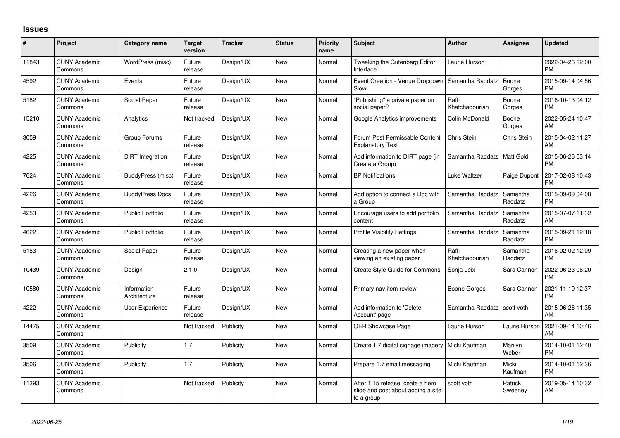## **Issues**

| #     | Project                         | <b>Category name</b>        | <b>Target</b><br>version | <b>Tracker</b> | <b>Status</b> | <b>Priority</b><br>name | <b>Subject</b>                                                                       | <b>Author</b>           | <b>Assignee</b>     | <b>Updated</b>                |
|-------|---------------------------------|-----------------------------|--------------------------|----------------|---------------|-------------------------|--------------------------------------------------------------------------------------|-------------------------|---------------------|-------------------------------|
| 11843 | <b>CUNY Academic</b><br>Commons | WordPress (misc)            | Future<br>release        | Design/UX      | <b>New</b>    | Normal                  | Tweaking the Gutenberg Editor<br>Interface                                           | Laurie Hurson           |                     | 2022-04-26 12:00<br><b>PM</b> |
| 4592  | <b>CUNY Academic</b><br>Commons | Events                      | Future<br>release        | Design/UX      | <b>New</b>    | Normal                  | Event Creation - Venue Dropdown<br>Slow                                              | Samantha Raddatz        | Boone<br>Gorges     | 2015-09-14 04:56<br><b>PM</b> |
| 5182  | <b>CUNY Academic</b><br>Commons | Social Paper                | Future<br>release        | Design/UX      | <b>New</b>    | Normal                  | "Publishing" a private paper on<br>social paper?                                     | Raffi<br>Khatchadourian | Boone<br>Gorges     | 2016-10-13 04:12<br><b>PM</b> |
| 15210 | <b>CUNY Academic</b><br>Commons | Analytics                   | Not tracked              | Design/UX      | <b>New</b>    | Normal                  | Google Analytics improvements                                                        | Colin McDonald          | Boone<br>Gorges     | 2022-05-24 10:47<br>AM        |
| 3059  | <b>CUNY Academic</b><br>Commons | Group Forums                | Future<br>release        | Design/UX      | <b>New</b>    | Normal                  | Forum Post Permissable Content<br><b>Explanatory Text</b>                            | Chris Stein             | Chris Stein         | 2015-04-02 11:27<br>AM        |
| 4225  | <b>CUNY Academic</b><br>Commons | DiRT Integration            | Future<br>release        | Design/UX      | <b>New</b>    | Normal                  | Add information to DIRT page (in<br>Create a Group)                                  | Samantha Raddatz        | <b>Matt Gold</b>    | 2015-06-26 03:14<br><b>PM</b> |
| 7624  | <b>CUNY Academic</b><br>Commons | BuddyPress (misc)           | Future<br>release        | Design/UX      | <b>New</b>    | Normal                  | <b>BP Notifications</b>                                                              | Luke Waltzer            | Paige Dupont        | 2017-02-08 10:43<br><b>PM</b> |
| 4226  | <b>CUNY Academic</b><br>Commons | <b>BuddyPress Docs</b>      | Future<br>release        | Design/UX      | New           | Normal                  | Add option to connect a Doc with<br>a Group                                          | Samantha Raddatz        | Samantha<br>Raddatz | 2015-09-09 04:08<br><b>PM</b> |
| 4253  | <b>CUNY Academic</b><br>Commons | <b>Public Portfolio</b>     | Future<br>release        | Design/UX      | <b>New</b>    | Normal                  | Encourage users to add portfolio<br>content                                          | Samantha Raddatz        | Samantha<br>Raddatz | 2015-07-07 11:32<br>AM        |
| 4622  | <b>CUNY Academic</b><br>Commons | <b>Public Portfolio</b>     | Future<br>release        | Design/UX      | New           | Normal                  | <b>Profile Visibility Settings</b>                                                   | Samantha Raddatz        | Samantha<br>Raddatz | 2015-09-21 12:18<br><b>PM</b> |
| 5183  | <b>CUNY Academic</b><br>Commons | Social Paper                | Future<br>release        | Design/UX      | <b>New</b>    | Normal                  | Creating a new paper when<br>viewing an existing paper                               | Raffi<br>Khatchadourian | Samantha<br>Raddatz | 2016-02-02 12:09<br><b>PM</b> |
| 10439 | <b>CUNY Academic</b><br>Commons | Design                      | 2.1.0                    | Design/UX      | <b>New</b>    | Normal                  | <b>Create Style Guide for Commons</b>                                                | Sonja Leix              | Sara Cannon         | 2022-06-23 06:20<br><b>PM</b> |
| 10580 | <b>CUNY Academic</b><br>Commons | Information<br>Architecture | Future<br>release        | Design/UX      | <b>New</b>    | Normal                  | Primary nav item review                                                              | Boone Gorges            | Sara Cannon         | 2021-11-19 12:37<br><b>PM</b> |
| 4222  | <b>CUNY Academic</b><br>Commons | User Experience             | Future<br>release        | Design/UX      | <b>New</b>    | Normal                  | Add information to 'Delete<br>Account' page                                          | Samantha Raddatz        | scott voth          | 2015-06-26 11:35<br>AM        |
| 14475 | <b>CUNY Academic</b><br>Commons |                             | Not tracked              | Publicity      | New           | Normal                  | OER Showcase Page                                                                    | Laurie Hurson           | Laurie Hurson       | 2021-09-14 10:46<br>AM        |
| 3509  | <b>CUNY Academic</b><br>Commons | Publicity                   | 1.7                      | Publicity      | New           | Normal                  | Create 1.7 digital signage imagery   Micki Kaufman                                   |                         | Marilyn<br>Weber    | 2014-10-01 12:40<br><b>PM</b> |
| 3506  | <b>CUNY Academic</b><br>Commons | Publicity                   | 1.7                      | Publicity      | <b>New</b>    | Normal                  | Prepare 1.7 email messaging                                                          | Micki Kaufman           | Micki<br>Kaufman    | 2014-10-01 12:36<br><b>PM</b> |
| 11393 | <b>CUNY Academic</b><br>Commons |                             | Not tracked              | Publicity      | New           | Normal                  | After 1.15 release, ceate a hero<br>slide and post about adding a site<br>to a group | scott voth              | Patrick<br>Sweeney  | 2019-05-14 10:32<br>AM        |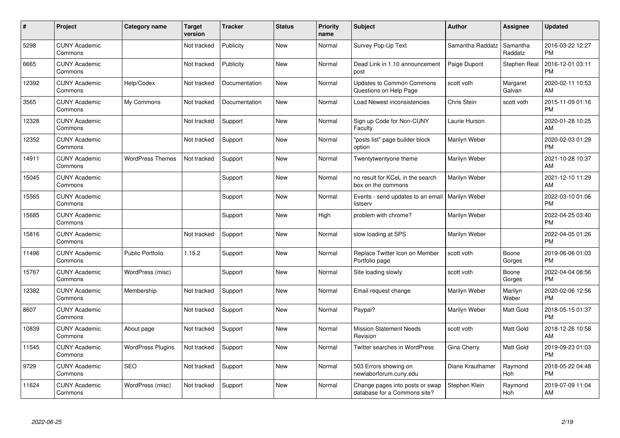| $\pmb{\#}$ | Project                         | <b>Category name</b>     | Target<br>version | <b>Tracker</b> | <b>Status</b> | <b>Priority</b><br>name | <b>Subject</b>                                                  | <b>Author</b>      | <b>Assignee</b>     | <b>Updated</b>                |
|------------|---------------------------------|--------------------------|-------------------|----------------|---------------|-------------------------|-----------------------------------------------------------------|--------------------|---------------------|-------------------------------|
| 5298       | <b>CUNY Academic</b><br>Commons |                          | Not tracked       | Publicity      | <b>New</b>    | Normal                  | Survey Pop-Up Text                                              | Samantha Raddatz   | Samantha<br>Raddatz | 2016-03-22 12:27<br><b>PM</b> |
| 6665       | <b>CUNY Academic</b><br>Commons |                          | Not tracked       | Publicity      | <b>New</b>    | Normal                  | Dead Link in 1.10 announcement<br>post                          | Paige Dupont       | <b>Stephen Real</b> | 2016-12-01 03:11<br><b>PM</b> |
| 12392      | <b>CUNY Academic</b><br>Commons | Help/Codex               | Not tracked       | Documentation  | <b>New</b>    | Normal                  | <b>Updates to Common Commons</b><br>Questions on Help Page      | scott voth         | Margaret<br>Galvan  | 2020-02-11 10:53<br>AM        |
| 3565       | <b>CUNY Academic</b><br>Commons | My Commons               | Not tracked       | Documentation  | <b>New</b>    | Normal                  | Load Newest inconsistencies                                     | <b>Chris Stein</b> | scott voth          | 2015-11-09 01:16<br><b>PM</b> |
| 12328      | <b>CUNY Academic</b><br>Commons |                          | Not tracked       | Support        | <b>New</b>    | Normal                  | Sign up Code for Non-CUNY<br>Faculty                            | Laurie Hurson      |                     | 2020-01-28 10:25<br>AM        |
| 12352      | <b>CUNY Academic</b><br>Commons |                          | Not tracked       | Support        | <b>New</b>    | Normal                  | "posts list" page builder block<br>option                       | Marilyn Weber      |                     | 2020-02-03 01:29<br><b>PM</b> |
| 14911      | <b>CUNY Academic</b><br>Commons | <b>WordPress Themes</b>  | Not tracked       | Support        | New           | Normal                  | Twentytwentyone theme                                           | Marilyn Weber      |                     | 2021-10-28 10:37<br>AM        |
| 15045      | <b>CUNY Academic</b><br>Commons |                          |                   | Support        | <b>New</b>    | Normal                  | no result for KCeL in the search<br>box on the commons          | Marilyn Weber      |                     | 2021-12-10 11:29<br>AM        |
| 15565      | <b>CUNY Academic</b><br>Commons |                          |                   | Support        | <b>New</b>    | Normal                  | Events - send updates to an email   Marilyn Weber<br>listserv   |                    |                     | 2022-03-10 01:06<br><b>PM</b> |
| 15685      | <b>CUNY Academic</b><br>Commons |                          |                   | Support        | New           | High                    | problem with chrome?                                            | Marilyn Weber      |                     | 2022-04-25 03:40<br><b>PM</b> |
| 15816      | <b>CUNY Academic</b><br>Commons |                          | Not tracked       | Support        | <b>New</b>    | Normal                  | slow loading at SPS                                             | Marilyn Weber      |                     | 2022-04-05 01:26<br>PM        |
| 11496      | <b>CUNY Academic</b><br>Commons | <b>Public Portfolio</b>  | 1.15.2            | Support        | <b>New</b>    | Normal                  | Replace Twitter Icon on Member<br>Portfolio page                | scott voth         | Boone<br>Gorges     | 2019-06-06 01:03<br><b>PM</b> |
| 15767      | <b>CUNY Academic</b><br>Commons | WordPress (misc)         |                   | Support        | New           | Normal                  | Site loading slowly                                             | scott voth         | Boone<br>Gorges     | 2022-04-04 08:56<br><b>PM</b> |
| 12382      | <b>CUNY Academic</b><br>Commons | Membership               | Not tracked       | Support        | <b>New</b>    | Normal                  | Email request change                                            | Marilyn Weber      | Marilyn<br>Weber    | 2020-02-06 12:56<br><b>PM</b> |
| 8607       | <b>CUNY Academic</b><br>Commons |                          | Not tracked       | Support        | <b>New</b>    | Normal                  | Paypal?                                                         | Marilyn Weber      | Matt Gold           | 2018-05-15 01:37<br><b>PM</b> |
| 10839      | <b>CUNY Academic</b><br>Commons | About page               | Not tracked       | Support        | New           | Normal                  | <b>Mission Statement Needs</b><br>Revision                      | scott voth         | Matt Gold           | 2018-12-26 10:58<br>AM        |
| 11545      | <b>CUNY Academic</b><br>Commons | <b>WordPress Plugins</b> | Not tracked       | Support        | <b>New</b>    | Normal                  | <b>Twitter searches in WordPress</b>                            | Gina Cherry        | <b>Matt Gold</b>    | 2019-09-23 01:03<br><b>PM</b> |
| 9729       | <b>CUNY Academic</b><br>Commons | <b>SEO</b>               | Not tracked       | Support        | New           | Normal                  | 503 Errors showing on<br>newlaborforum.cuny.edu                 | Diane Krauthamer   | Raymond<br>Hoh      | 2018-05-22 04:48<br><b>PM</b> |
| 11624      | <b>CUNY Academic</b><br>Commons | WordPress (misc)         | Not tracked       | Support        | <b>New</b>    | Normal                  | Change pages into posts or swap<br>database for a Commons site? | Stephen Klein      | Raymond<br>Hoh      | 2019-07-09 11:04<br>AM        |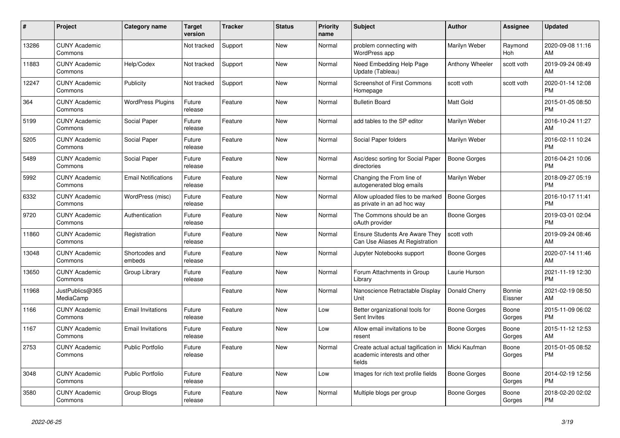| $\pmb{\#}$ | <b>Project</b>                  | Category name              | <b>Target</b><br>version | <b>Tracker</b> | <b>Status</b> | <b>Priority</b><br>name | <b>Subject</b>                                                                 | <b>Author</b>       | <b>Assignee</b>       | <b>Updated</b>                |
|------------|---------------------------------|----------------------------|--------------------------|----------------|---------------|-------------------------|--------------------------------------------------------------------------------|---------------------|-----------------------|-------------------------------|
| 13286      | <b>CUNY Academic</b><br>Commons |                            | Not tracked              | Support        | <b>New</b>    | Normal                  | problem connecting with<br>WordPress app                                       | Marilyn Weber       | Raymond<br><b>Hoh</b> | 2020-09-08 11:16<br>AM        |
| 11883      | <b>CUNY Academic</b><br>Commons | Help/Codex                 | Not tracked              | Support        | <b>New</b>    | Normal                  | Need Embedding Help Page<br>Update (Tableau)                                   | Anthony Wheeler     | scott voth            | 2019-09-24 08:49<br>AM        |
| 12247      | <b>CUNY Academic</b><br>Commons | Publicity                  | Not tracked              | Support        | New           | Normal                  | <b>Screenshot of First Commons</b><br>Homepage                                 | scott voth          | scott voth            | 2020-01-14 12:08<br><b>PM</b> |
| 364        | <b>CUNY Academic</b><br>Commons | <b>WordPress Plugins</b>   | Future<br>release        | Feature        | <b>New</b>    | Normal                  | <b>Bulletin Board</b>                                                          | Matt Gold           |                       | 2015-01-05 08:50<br><b>PM</b> |
| 5199       | <b>CUNY Academic</b><br>Commons | Social Paper               | Future<br>release        | Feature        | <b>New</b>    | Normal                  | add tables to the SP editor                                                    | Marilyn Weber       |                       | 2016-10-24 11:27<br>AM        |
| 5205       | <b>CUNY Academic</b><br>Commons | Social Paper               | Future<br>release        | Feature        | New           | Normal                  | Social Paper folders                                                           | Marilyn Weber       |                       | 2016-02-11 10:24<br><b>PM</b> |
| 5489       | <b>CUNY Academic</b><br>Commons | Social Paper               | Future<br>release        | Feature        | <b>New</b>    | Normal                  | Asc/desc sorting for Social Paper<br>directories                               | <b>Boone Gorges</b> |                       | 2016-04-21 10:06<br><b>PM</b> |
| 5992       | <b>CUNY Academic</b><br>Commons | <b>Email Notifications</b> | Future<br>release        | Feature        | <b>New</b>    | Normal                  | Changing the From line of<br>autogenerated blog emails                         | Marilyn Weber       |                       | 2018-09-27 05:19<br><b>PM</b> |
| 6332       | <b>CUNY Academic</b><br>Commons | WordPress (misc)           | Future<br>release        | Feature        | <b>New</b>    | Normal                  | Allow uploaded files to be marked<br>as private in an ad hoc way               | <b>Boone Gorges</b> |                       | 2016-10-17 11:41<br><b>PM</b> |
| 9720       | <b>CUNY Academic</b><br>Commons | Authentication             | Future<br>release        | Feature        | <b>New</b>    | Normal                  | The Commons should be an<br>oAuth provider                                     | <b>Boone Gorges</b> |                       | 2019-03-01 02:04<br><b>PM</b> |
| 11860      | <b>CUNY Academic</b><br>Commons | Registration               | Future<br>release        | Feature        | <b>New</b>    | Normal                  | <b>Ensure Students Are Aware They</b><br>Can Use Aliases At Registration       | scott voth          |                       | 2019-09-24 08:46<br>AM        |
| 13048      | <b>CUNY Academic</b><br>Commons | Shortcodes and<br>embeds   | Future<br>release        | Feature        | New           | Normal                  | Jupyter Notebooks support                                                      | Boone Gorges        |                       | 2020-07-14 11:46<br>AM        |
| 13650      | <b>CUNY Academic</b><br>Commons | Group Library              | Future<br>release        | Feature        | <b>New</b>    | Normal                  | Forum Attachments in Group<br>Library                                          | Laurie Hurson       |                       | 2021-11-19 12:30<br><b>PM</b> |
| 11968      | JustPublics@365<br>MediaCamp    |                            |                          | Feature        | <b>New</b>    | Normal                  | Nanoscience Retractable Display<br>Unit                                        | Donald Cherry       | Bonnie<br>Eissner     | 2021-02-19 08:50<br>AM        |
| 1166       | <b>CUNY Academic</b><br>Commons | <b>Email Invitations</b>   | Future<br>release        | Feature        | <b>New</b>    | Low                     | Better organizational tools for<br>Sent Invites                                | Boone Gorges        | Boone<br>Gorges       | 2015-11-09 06:02<br><b>PM</b> |
| 1167       | <b>CUNY Academic</b><br>Commons | <b>Email Invitations</b>   | Future<br>release        | Feature        | <b>New</b>    | Low                     | Allow email invitations to be<br>resent                                        | Boone Gorges        | Boone<br>Gorges       | 2015-11-12 12:53<br>AM        |
| 2753       | <b>CUNY Academic</b><br>Commons | <b>Public Portfolio</b>    | Future<br>release        | Feature        | <b>New</b>    | Normal                  | Create actual actual tagification in<br>academic interests and other<br>fields | Micki Kaufman       | Boone<br>Gorges       | 2015-01-05 08:52<br><b>PM</b> |
| 3048       | <b>CUNY Academic</b><br>Commons | <b>Public Portfolio</b>    | Future<br>release        | Feature        | <b>New</b>    | Low                     | Images for rich text profile fields                                            | <b>Boone Gorges</b> | Boone<br>Gorges       | 2014-02-19 12:56<br><b>PM</b> |
| 3580       | <b>CUNY Academic</b><br>Commons | Group Blogs                | Future<br>release        | Feature        | <b>New</b>    | Normal                  | Multiple blogs per group                                                       | Boone Gorges        | Boone<br>Gorges       | 2018-02-20 02:02<br><b>PM</b> |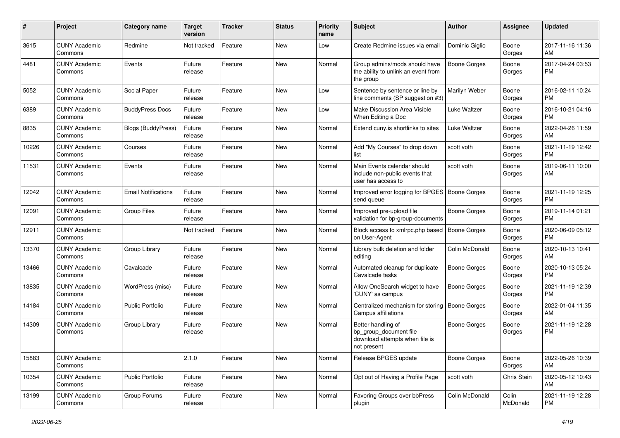| #     | Project                         | <b>Category name</b>       | Target<br>version | <b>Tracker</b> | <b>Status</b> | <b>Priority</b><br>name | <b>Subject</b>                                                                                | Author              | Assignee          | <b>Updated</b>                |
|-------|---------------------------------|----------------------------|-------------------|----------------|---------------|-------------------------|-----------------------------------------------------------------------------------------------|---------------------|-------------------|-------------------------------|
| 3615  | <b>CUNY Academic</b><br>Commons | Redmine                    | Not tracked       | Feature        | <b>New</b>    | Low                     | Create Redmine issues via emai                                                                | Dominic Giglio      | Boone<br>Gorges   | 2017-11-16 11:36<br>AM        |
| 4481  | <b>CUNY Academic</b><br>Commons | Events                     | Future<br>release | Feature        | New           | Normal                  | Group admins/mods should have<br>the ability to unlink an event from<br>the group             | <b>Boone Gorges</b> | Boone<br>Gorges   | 2017-04-24 03:53<br><b>PM</b> |
| 5052  | <b>CUNY Academic</b><br>Commons | Social Paper               | Future<br>release | Feature        | New           | Low                     | Sentence by sentence or line by<br>line comments (SP suggestion #3)                           | Marilyn Weber       | Boone<br>Gorges   | 2016-02-11 10:24<br><b>PM</b> |
| 6389  | <b>CUNY Academic</b><br>Commons | <b>BuddyPress Docs</b>     | Future<br>release | Feature        | New           | Low                     | Make Discussion Area Visible<br>When Editing a Doc                                            | Luke Waltzer        | Boone<br>Gorges   | 2016-10-21 04:16<br><b>PM</b> |
| 8835  | <b>CUNY Academic</b><br>Commons | Blogs (BuddyPress)         | Future<br>release | Feature        | <b>New</b>    | Normal                  | Extend cuny.is shortlinks to sites                                                            | <b>Luke Waltzer</b> | Boone<br>Gorges   | 2022-04-26 11:59<br>AM        |
| 10226 | <b>CUNY Academic</b><br>Commons | Courses                    | Future<br>release | Feature        | <b>New</b>    | Normal                  | Add "My Courses" to drop down<br>list                                                         | scott voth          | Boone<br>Gorges   | 2021-11-19 12:42<br><b>PM</b> |
| 11531 | <b>CUNY Academic</b><br>Commons | Events                     | Future<br>release | Feature        | <b>New</b>    | Normal                  | Main Events calendar should<br>include non-public events that<br>user has access to           | scott voth          | Boone<br>Gorges   | 2019-06-11 10:00<br>AM        |
| 12042 | <b>CUNY Academic</b><br>Commons | <b>Email Notifications</b> | Future<br>release | Feature        | <b>New</b>    | Normal                  | Improved error logging for BPGES   Boone Gorges<br>send queue                                 |                     | Boone<br>Gorges   | 2021-11-19 12:25<br><b>PM</b> |
| 12091 | <b>CUNY Academic</b><br>Commons | <b>Group Files</b>         | Future<br>release | Feature        | <b>New</b>    | Normal                  | Improved pre-upload file<br>validation for bp-group-documents                                 | <b>Boone Gorges</b> | Boone<br>Gorges   | 2019-11-14 01:21<br><b>PM</b> |
| 12911 | <b>CUNY Academic</b><br>Commons |                            | Not tracked       | Feature        | <b>New</b>    | Normal                  | Block access to xmlrpc.php based<br>on User-Agent                                             | <b>Boone Gorges</b> | Boone<br>Gorges   | 2020-06-09 05:12<br><b>PM</b> |
| 13370 | <b>CUNY Academic</b><br>Commons | Group Library              | Future<br>release | Feature        | <b>New</b>    | Normal                  | Library bulk deletion and folder<br>editing                                                   | Colin McDonald      | Boone<br>Gorges   | 2020-10-13 10:41<br>AM        |
| 13466 | <b>CUNY Academic</b><br>Commons | Cavalcade                  | Future<br>release | Feature        | <b>New</b>    | Normal                  | Automated cleanup for duplicate<br>Cavalcade tasks                                            | <b>Boone Gorges</b> | Boone<br>Gorges   | 2020-10-13 05:24<br><b>PM</b> |
| 13835 | <b>CUNY Academic</b><br>Commons | WordPress (misc)           | Future<br>release | Feature        | <b>New</b>    | Normal                  | Allow OneSearch widget to have<br>'CUNY' as campus                                            | Boone Gorges        | Boone<br>Gorges   | 2021-11-19 12:39<br><b>PM</b> |
| 14184 | <b>CUNY Academic</b><br>Commons | <b>Public Portfolio</b>    | Future<br>release | Feature        | <b>New</b>    | Normal                  | Centralized mechanism for storing<br>Campus affiliations                                      | <b>Boone Gorges</b> | Boone<br>Gorges   | 2022-01-04 11:35<br>AM        |
| 14309 | <b>CUNY Academic</b><br>Commons | Group Library              | Future<br>release | Feature        | New           | Normal                  | Better handling of<br>bp_group_document file<br>download attempts when file is<br>not present | <b>Boone Gorges</b> | Boone<br>Gorges   | 2021-11-19 12:28<br><b>PM</b> |
| 15883 | <b>CUNY Academic</b><br>Commons |                            | 2.1.0             | Feature        | New           | Normal                  | Release BPGES update                                                                          | <b>Boone Gorges</b> | Boone<br>Gorges   | 2022-05-26 10:39<br>AM        |
| 10354 | <b>CUNY Academic</b><br>Commons | Public Portfolio           | Future<br>release | Feature        | New           | Normal                  | Opt out of Having a Profile Page                                                              | scott voth          | Chris Stein       | 2020-05-12 10:43<br>AM        |
| 13199 | <b>CUNY Academic</b><br>Commons | Group Forums               | Future<br>release | Feature        | New           | Normal                  | Favoring Groups over bbPress<br>plugin                                                        | Colin McDonald      | Colin<br>McDonald | 2021-11-19 12:28<br><b>PM</b> |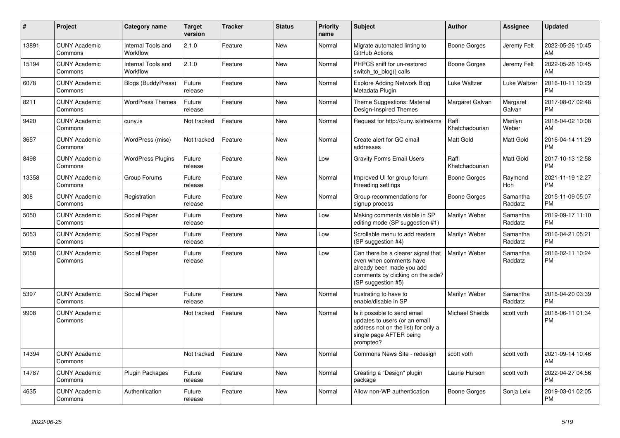| #     | Project                         | <b>Category name</b>           | <b>Target</b><br>version | <b>Tracker</b> | <b>Status</b> | Priority<br>name | <b>Subject</b>                                                                                                                                        | Author                  | <b>Assignee</b>       | <b>Updated</b>                |
|-------|---------------------------------|--------------------------------|--------------------------|----------------|---------------|------------------|-------------------------------------------------------------------------------------------------------------------------------------------------------|-------------------------|-----------------------|-------------------------------|
| 13891 | <b>CUNY Academic</b><br>Commons | Internal Tools and<br>Workflow | 2.1.0                    | Feature        | <b>New</b>    | Normal           | Migrate automated linting to<br>GitHub Actions                                                                                                        | <b>Boone Gorges</b>     | Jeremy Felt           | 2022-05-26 10:45<br>AM        |
| 15194 | <b>CUNY Academic</b><br>Commons | Internal Tools and<br>Workflow | 2.1.0                    | Feature        | <b>New</b>    | Normal           | PHPCS sniff for un-restored<br>switch_to_blog() calls                                                                                                 | Boone Gorges            | Jeremy Felt           | 2022-05-26 10:45<br>AM        |
| 6078  | <b>CUNY Academic</b><br>Commons | Blogs (BuddyPress)             | Future<br>release        | Feature        | New           | Normal           | <b>Explore Adding Network Blog</b><br>Metadata Plugin                                                                                                 | Luke Waltzer            | Luke Waltzer          | 2016-10-11 10:29<br><b>PM</b> |
| 8211  | <b>CUNY Academic</b><br>Commons | <b>WordPress Themes</b>        | Future<br>release        | Feature        | <b>New</b>    | Normal           | Theme Suggestions: Material<br>Design-Inspired Themes                                                                                                 | Margaret Galvan         | Margaret<br>Galvan    | 2017-08-07 02:48<br><b>PM</b> |
| 9420  | <b>CUNY Academic</b><br>Commons | cuny.is                        | Not tracked              | Feature        | <b>New</b>    | Normal           | Request for http://cuny.is/streams                                                                                                                    | Raffi<br>Khatchadourian | Marilyn<br>Weber      | 2018-04-02 10:08<br>AM        |
| 3657  | <b>CUNY Academic</b><br>Commons | WordPress (misc)               | Not tracked              | Feature        | <b>New</b>    | Normal           | Create alert for GC email<br>addresses                                                                                                                | Matt Gold               | Matt Gold             | 2016-04-14 11:29<br><b>PM</b> |
| 8498  | <b>CUNY Academic</b><br>Commons | <b>WordPress Plugins</b>       | Future<br>release        | Feature        | <b>New</b>    | Low              | <b>Gravity Forms Email Users</b>                                                                                                                      | Raffi<br>Khatchadourian | Matt Gold             | 2017-10-13 12:58<br><b>PM</b> |
| 13358 | <b>CUNY Academic</b><br>Commons | Group Forums                   | Future<br>release        | Feature        | <b>New</b>    | Normal           | Improved UI for group forum<br>threading settings                                                                                                     | <b>Boone Gorges</b>     | Raymond<br><b>Hoh</b> | 2021-11-19 12:27<br><b>PM</b> |
| 308   | <b>CUNY Academic</b><br>Commons | Registration                   | Future<br>release        | Feature        | <b>New</b>    | Normal           | Group recommendations for<br>signup process                                                                                                           | Boone Gorges            | Samantha<br>Raddatz   | 2015-11-09 05:07<br><b>PM</b> |
| 5050  | <b>CUNY Academic</b><br>Commons | Social Paper                   | Future<br>release        | Feature        | <b>New</b>    | Low              | Making comments visible in SP<br>editing mode (SP suggestion #1)                                                                                      | Marilyn Weber           | Samantha<br>Raddatz   | 2019-09-17 11:10<br><b>PM</b> |
| 5053  | <b>CUNY Academic</b><br>Commons | Social Paper                   | Future<br>release        | Feature        | New           | Low              | Scrollable menu to add readers<br>(SP suggestion #4)                                                                                                  | Marilyn Weber           | Samantha<br>Raddatz   | 2016-04-21 05:21<br><b>PM</b> |
| 5058  | <b>CUNY Academic</b><br>Commons | Social Paper                   | Future<br>release        | Feature        | <b>New</b>    | Low              | Can there be a clearer signal that<br>even when comments have<br>already been made you add<br>comments by clicking on the side?<br>(SP suggestion #5) | Marilyn Weber           | Samantha<br>Raddatz   | 2016-02-11 10:24<br><b>PM</b> |
| 5397  | <b>CUNY Academic</b><br>Commons | Social Paper                   | Future<br>release        | Feature        | <b>New</b>    | Normal           | frustrating to have to<br>enable/disable in SP                                                                                                        | Marilyn Weber           | Samantha<br>Raddatz   | 2016-04-20 03:39<br><b>PM</b> |
| 9908  | <b>CUNY Academic</b><br>Commons |                                | Not tracked              | Feature        | <b>New</b>    | Normal           | Is it possible to send email<br>updates to users (or an email<br>address not on the list) for only a<br>single page AFTER being<br>prompted?          | <b>Michael Shields</b>  | scott voth            | 2018-06-11 01:34<br><b>PM</b> |
| 14394 | <b>CUNY Academic</b><br>Commons |                                | Not tracked              | Feature        | New           | Normal           | Commons News Site - redesign                                                                                                                          | scott voth              | scott voth            | 2021-09-14 10:46<br>AM        |
| 14787 | <b>CUNY Academic</b><br>Commons | <b>Plugin Packages</b>         | Future<br>release        | Feature        | <b>New</b>    | Normal           | Creating a "Design" plugin<br>package                                                                                                                 | Laurie Hurson           | scott voth            | 2022-04-27 04:56<br><b>PM</b> |
| 4635  | <b>CUNY Academic</b><br>Commons | Authentication                 | Future<br>release        | Feature        | <b>New</b>    | Normal           | Allow non-WP authentication                                                                                                                           | Boone Gorges            | Sonja Leix            | 2019-03-01 02:05<br><b>PM</b> |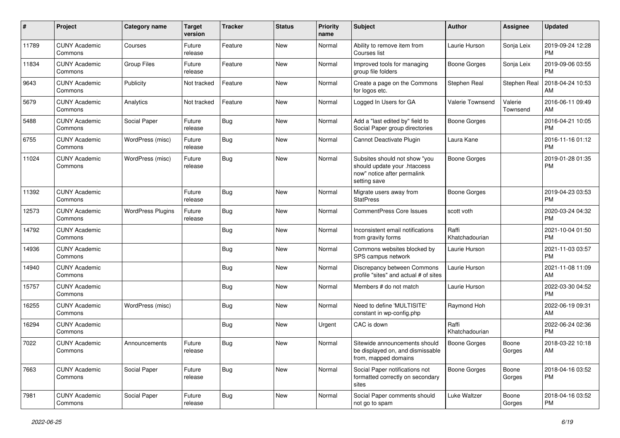| #     | Project                         | <b>Category name</b>     | <b>Target</b><br>version | <b>Tracker</b> | <b>Status</b> | <b>Priority</b><br>name | <b>Subject</b>                                                                                               | <b>Author</b>           | Assignee            | <b>Updated</b>                |
|-------|---------------------------------|--------------------------|--------------------------|----------------|---------------|-------------------------|--------------------------------------------------------------------------------------------------------------|-------------------------|---------------------|-------------------------------|
| 11789 | <b>CUNY Academic</b><br>Commons | Courses                  | Future<br>release        | Feature        | <b>New</b>    | Normal                  | Ability to remove item from<br>Courses list                                                                  | Laurie Hurson           | Sonja Leix          | 2019-09-24 12:28<br><b>PM</b> |
| 11834 | <b>CUNY Academic</b><br>Commons | <b>Group Files</b>       | Future<br>release        | Feature        | <b>New</b>    | Normal                  | Improved tools for managing<br>group file folders                                                            | <b>Boone Gorges</b>     | Sonja Leix          | 2019-09-06 03:55<br><b>PM</b> |
| 9643  | <b>CUNY Academic</b><br>Commons | Publicity                | Not tracked              | Feature        | New           | Normal                  | Create a page on the Commons<br>for logos etc.                                                               | Stephen Real            | Stephen Real        | 2018-04-24 10:53<br>AM        |
| 5679  | <b>CUNY Academic</b><br>Commons | Analytics                | Not tracked              | Feature        | New           | Normal                  | Logged In Users for GA                                                                                       | Valerie Townsend        | Valerie<br>Townsend | 2016-06-11 09:49<br>AM        |
| 5488  | <b>CUNY Academic</b><br>Commons | Social Paper             | Future<br>release        | Bug            | <b>New</b>    | Normal                  | Add a "last edited by" field to<br>Social Paper group directories                                            | <b>Boone Gorges</b>     |                     | 2016-04-21 10:05<br><b>PM</b> |
| 6755  | <b>CUNY Academic</b><br>Commons | WordPress (misc)         | Future<br>release        | <b>Bug</b>     | <b>New</b>    | Normal                  | Cannot Deactivate Plugin                                                                                     | Laura Kane              |                     | 2016-11-16 01:12<br><b>PM</b> |
| 11024 | <b>CUNY Academic</b><br>Commons | WordPress (misc)         | Future<br>release        | Bug            | <b>New</b>    | Normal                  | Subsites should not show "you<br>should update your .htaccess<br>now" notice after permalink<br>setting save | <b>Boone Gorges</b>     |                     | 2019-01-28 01:35<br><b>PM</b> |
| 11392 | <b>CUNY Academic</b><br>Commons |                          | Future<br>release        | Bug            | <b>New</b>    | Normal                  | Migrate users away from<br><b>StatPress</b>                                                                  | <b>Boone Gorges</b>     |                     | 2019-04-23 03:53<br><b>PM</b> |
| 12573 | <b>CUNY Academic</b><br>Commons | <b>WordPress Plugins</b> | Future<br>release        | Bug            | New           | Normal                  | <b>CommentPress Core Issues</b>                                                                              | scott voth              |                     | 2020-03-24 04:32<br><b>PM</b> |
| 14792 | <b>CUNY Academic</b><br>Commons |                          |                          | Bug            | New           | Normal                  | Inconsistent email notifications<br>from gravity forms                                                       | Raffi<br>Khatchadourian |                     | 2021-10-04 01:50<br><b>PM</b> |
| 14936 | <b>CUNY Academic</b><br>Commons |                          |                          | <b>Bug</b>     | <b>New</b>    | Normal                  | Commons websites blocked by<br>SPS campus network                                                            | Laurie Hurson           |                     | 2021-11-03 03:57<br><b>PM</b> |
| 14940 | <b>CUNY Academic</b><br>Commons |                          |                          | Bug            | <b>New</b>    | Normal                  | Discrepancy between Commons<br>profile "sites" and actual # of sites                                         | Laurie Hurson           |                     | 2021-11-08 11:09<br>AM        |
| 15757 | <b>CUNY Academic</b><br>Commons |                          |                          | <b>Bug</b>     | New           | Normal                  | Members # do not match                                                                                       | Laurie Hurson           |                     | 2022-03-30 04:52<br><b>PM</b> |
| 16255 | <b>CUNY Academic</b><br>Commons | WordPress (misc)         |                          | <b>Bug</b>     | <b>New</b>    | Normal                  | Need to define 'MULTISITE'<br>constant in wp-config.php                                                      | Raymond Hoh             |                     | 2022-06-19 09:31<br>AM        |
| 16294 | <b>CUNY Academic</b><br>Commons |                          |                          | <b>Bug</b>     | <b>New</b>    | Urgent                  | CAC is down                                                                                                  | Raffi<br>Khatchadourian |                     | 2022-06-24 02:36<br><b>PM</b> |
| 7022  | <b>CUNY Academic</b><br>Commons | Announcements            | Future<br>release        | Bug            | New           | Normal                  | Sitewide announcements should<br>be displayed on, and dismissable<br>from, mapped domains                    | <b>Boone Gorges</b>     | Boone<br>Gorges     | 2018-03-22 10:18<br>AM        |
| 7663  | <b>CUNY Academic</b><br>Commons | Social Paper             | Future<br>release        | <b>Bug</b>     | New           | Normal                  | Social Paper notifications not<br>formatted correctly on secondary<br>sites                                  | <b>Boone Gorges</b>     | Boone<br>Gorges     | 2018-04-16 03:52<br><b>PM</b> |
| 7981  | <b>CUNY Academic</b><br>Commons | Social Paper             | Future<br>release        | <b>Bug</b>     | New           | Normal                  | Social Paper comments should<br>not go to spam                                                               | Luke Waltzer            | Boone<br>Gorges     | 2018-04-16 03:52<br>PM        |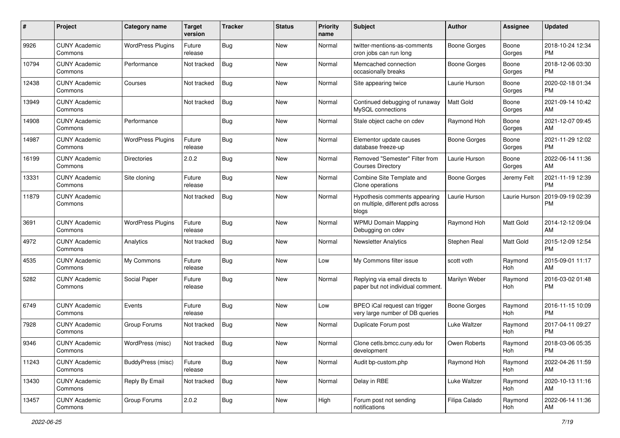| #     | Project                         | <b>Category name</b>     | <b>Target</b><br>version | <b>Tracker</b> | <b>Status</b> | <b>Priority</b><br>name | Subject                                                                      | Author              | <b>Assignee</b>       | <b>Updated</b>                |
|-------|---------------------------------|--------------------------|--------------------------|----------------|---------------|-------------------------|------------------------------------------------------------------------------|---------------------|-----------------------|-------------------------------|
| 9926  | <b>CUNY Academic</b><br>Commons | <b>WordPress Plugins</b> | Future<br>release        | Bug            | <b>New</b>    | Normal                  | twitter-mentions-as-comments<br>cron jobs can run long                       | <b>Boone Gorges</b> | Boone<br>Gorges       | 2018-10-24 12:34<br>PM        |
| 10794 | <b>CUNY Academic</b><br>Commons | Performance              | Not tracked              | Bug            | <b>New</b>    | Normal                  | Memcached connection<br>occasionally breaks                                  | <b>Boone Gorges</b> | Boone<br>Gorges       | 2018-12-06 03:30<br>PM        |
| 12438 | <b>CUNY Academic</b><br>Commons | Courses                  | Not tracked              | Bug            | New           | Normal                  | Site appearing twice                                                         | Laurie Hurson       | Boone<br>Gorges       | 2020-02-18 01:34<br>PM        |
| 13949 | <b>CUNY Academic</b><br>Commons |                          | Not tracked              | <b>Bug</b>     | New           | Normal                  | Continued debugging of runaway<br>MySQL connections                          | <b>Matt Gold</b>    | Boone<br>Gorges       | 2021-09-14 10:42<br>AM        |
| 14908 | <b>CUNY Academic</b><br>Commons | Performance              |                          | <b>Bug</b>     | <b>New</b>    | Normal                  | Stale object cache on cdev                                                   | Raymond Hoh         | Boone<br>Gorges       | 2021-12-07 09:45<br>AM        |
| 14987 | <b>CUNY Academic</b><br>Commons | <b>WordPress Plugins</b> | Future<br>release        | Bug            | <b>New</b>    | Normal                  | Elementor update causes<br>database freeze-up                                | <b>Boone Gorges</b> | Boone<br>Gorges       | 2021-11-29 12:02<br><b>PM</b> |
| 16199 | <b>CUNY Academic</b><br>Commons | <b>Directories</b>       | 2.0.2                    | <b>Bug</b>     | New           | Normal                  | Removed "Semester" Filter from<br><b>Courses Directory</b>                   | Laurie Hurson       | Boone<br>Gorges       | 2022-06-14 11:36<br>AM        |
| 13331 | <b>CUNY Academic</b><br>Commons | Site cloning             | Future<br>release        | <b>Bug</b>     | <b>New</b>    | Normal                  | Combine Site Template and<br>Clone operations                                | <b>Boone Gorges</b> | Jeremy Felt           | 2021-11-19 12:39<br>PM        |
| 11879 | <b>CUNY Academic</b><br>Commons |                          | Not tracked              | Bug            | <b>New</b>    | Normal                  | Hypothesis comments appearing<br>on multiple, different pdfs across<br>blogs | Laurie Hurson       | Laurie Hurson         | 2019-09-19 02:39<br><b>PM</b> |
| 3691  | <b>CUNY Academic</b><br>Commons | <b>WordPress Plugins</b> | Future<br>release        | Bug            | <b>New</b>    | Normal                  | <b>WPMU Domain Mapping</b><br>Debugging on cdev                              | Raymond Hoh         | Matt Gold             | 2014-12-12 09:04<br>AM        |
| 4972  | <b>CUNY Academic</b><br>Commons | Analytics                | Not tracked              | Bug            | <b>New</b>    | Normal                  | <b>Newsletter Analytics</b>                                                  | Stephen Real        | Matt Gold             | 2015-12-09 12:54<br><b>PM</b> |
| 4535  | <b>CUNY Academic</b><br>Commons | My Commons               | Future<br>release        | Bug            | New           | Low                     | My Commons filter issue                                                      | scott voth          | Raymond<br>Hoh        | 2015-09-01 11:17<br>AM        |
| 5282  | <b>CUNY Academic</b><br>Commons | Social Paper             | Future<br>release        | Bug            | <b>New</b>    | Normal                  | Replying via email directs to<br>paper but not individual comment.           | Marilyn Weber       | Raymond<br>Hoh        | 2016-03-02 01:48<br><b>PM</b> |
| 6749  | <b>CUNY Academic</b><br>Commons | Events                   | Future<br>release        | Bug            | <b>New</b>    | Low                     | BPEO iCal request can trigger<br>very large number of DB queries             | <b>Boone Gorges</b> | Raymond<br><b>Hoh</b> | 2016-11-15 10:09<br><b>PM</b> |
| 7928  | <b>CUNY Academic</b><br>Commons | Group Forums             | Not tracked              | Bug            | <b>New</b>    | Normal                  | Duplicate Forum post                                                         | Luke Waltzer        | Raymond<br>Hoh        | 2017-04-11 09:27<br><b>PM</b> |
| 9346  | <b>CUNY Academic</b><br>Commons | WordPress (misc)         | Not tracked              | Bug            | New           | Normal                  | Clone cetls.bmcc.cuny.edu for<br>development                                 | Owen Roberts        | Raymond<br>Hoh        | 2018-03-06 05:35<br>  PM      |
| 11243 | <b>CUNY Academic</b><br>Commons | BuddyPress (misc)        | Future<br>release        | Bug            | New           | Normal                  | Audit bp-custom.php                                                          | Raymond Hoh         | Raymond<br>Hoh        | 2022-04-26 11:59<br>AM        |
| 13430 | <b>CUNY Academic</b><br>Commons | Reply By Email           | Not tracked              | Bug            | New           | Normal                  | Delay in RBE                                                                 | Luke Waltzer        | Raymond<br>Hoh        | 2020-10-13 11:16<br>AM        |
| 13457 | <b>CUNY Academic</b><br>Commons | Group Forums             | 2.0.2                    | Bug            | New           | High                    | Forum post not sending<br>notifications                                      | Filipa Calado       | Raymond<br>Hoh        | 2022-06-14 11:36<br>AM        |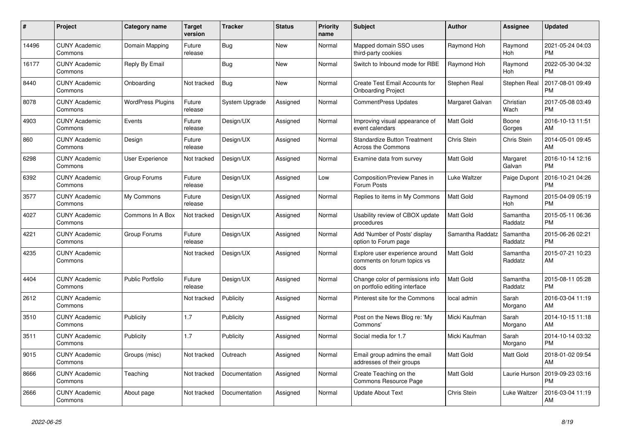| $\pmb{\#}$ | Project                         | Category name            | <b>Target</b><br>version | <b>Tracker</b> | <b>Status</b> | <b>Priority</b><br>name | <b>Subject</b>                                                        | <b>Author</b>      | <b>Assignee</b>       | <b>Updated</b>                |
|------------|---------------------------------|--------------------------|--------------------------|----------------|---------------|-------------------------|-----------------------------------------------------------------------|--------------------|-----------------------|-------------------------------|
| 14496      | <b>CUNY Academic</b><br>Commons | Domain Mapping           | Future<br>release        | <b>Bug</b>     | <b>New</b>    | Normal                  | Mapped domain SSO uses<br>third-party cookies                         | Raymond Hoh        | Raymond<br><b>Hoh</b> | 2021-05-24 04:03<br><b>PM</b> |
| 16177      | <b>CUNY Academic</b><br>Commons | Reply By Email           |                          | <b>Bug</b>     | <b>New</b>    | Normal                  | Switch to Inbound mode for RBE                                        | Raymond Hoh        | Raymond<br>Hoh        | 2022-05-30 04:32<br><b>PM</b> |
| 8440       | <b>CUNY Academic</b><br>Commons | Onboarding               | Not tracked              | <b>Bug</b>     | New           | Normal                  | Create Test Email Accounts for<br><b>Onboarding Project</b>           | Stephen Real       | Stephen Real          | 2017-08-01 09:49<br><b>PM</b> |
| 8078       | <b>CUNY Academic</b><br>Commons | <b>WordPress Plugins</b> | Future<br>release        | System Upgrade | Assigned      | Normal                  | <b>CommentPress Updates</b>                                           | Margaret Galvan    | Christian<br>Wach     | 2017-05-08 03:49<br><b>PM</b> |
| 4903       | <b>CUNY Academic</b><br>Commons | Events                   | Future<br>release        | Design/UX      | Assigned      | Normal                  | Improving visual appearance of<br>event calendars                     | <b>Matt Gold</b>   | Boone<br>Gorges       | 2016-10-13 11:51<br>AM        |
| 860        | <b>CUNY Academic</b><br>Commons | Design                   | Future<br>release        | Design/UX      | Assigned      | Normal                  | <b>Standardize Button Treatment</b><br>Across the Commons             | Chris Stein        | Chris Stein           | 2014-05-01 09:45<br>AM        |
| 6298       | <b>CUNY Academic</b><br>Commons | User Experience          | Not tracked              | Design/UX      | Assigned      | Normal                  | Examine data from survey                                              | <b>Matt Gold</b>   | Margaret<br>Galvan    | 2016-10-14 12:16<br><b>PM</b> |
| 6392       | <b>CUNY Academic</b><br>Commons | Group Forums             | Future<br>release        | Design/UX      | Assigned      | Low                     | Composition/Preview Panes in<br>Forum Posts                           | Luke Waltzer       | Paige Dupont          | 2016-10-21 04:26<br><b>PM</b> |
| 3577       | <b>CUNY Academic</b><br>Commons | My Commons               | Future<br>release        | Design/UX      | Assigned      | Normal                  | Replies to items in My Commons                                        | Matt Gold          | Raymond<br>Hoh        | 2015-04-09 05:19<br><b>PM</b> |
| 4027       | <b>CUNY Academic</b><br>Commons | Commons In A Box         | Not tracked              | Design/UX      | Assigned      | Normal                  | Usability review of CBOX update<br>procedures                         | Matt Gold          | Samantha<br>Raddatz   | 2015-05-11 06:36<br><b>PM</b> |
| 4221       | <b>CUNY Academic</b><br>Commons | Group Forums             | Future<br>release        | Design/UX      | Assigned      | Normal                  | Add 'Number of Posts' display<br>option to Forum page                 | Samantha Raddatz   | Samantha<br>Raddatz   | 2015-06-26 02:21<br><b>PM</b> |
| 4235       | <b>CUNY Academic</b><br>Commons |                          | Not tracked              | Design/UX      | Assigned      | Normal                  | Explore user experience around<br>comments on forum topics vs<br>docs | Matt Gold          | Samantha<br>Raddatz   | 2015-07-21 10:23<br>AM        |
| 4404       | <b>CUNY Academic</b><br>Commons | <b>Public Portfolio</b>  | Future<br>release        | Design/UX      | Assigned      | Normal                  | Change color of permissions info<br>on portfolio editing interface    | <b>Matt Gold</b>   | Samantha<br>Raddatz   | 2015-08-11 05:28<br>PM        |
| 2612       | <b>CUNY Academic</b><br>Commons |                          | Not tracked              | Publicity      | Assigned      | Normal                  | Pinterest site for the Commons                                        | local admin        | Sarah<br>Morgano      | 2016-03-04 11:19<br>AM        |
| 3510       | <b>CUNY Academic</b><br>Commons | Publicity                | 1.7                      | Publicity      | Assigned      | Normal                  | Post on the News Blog re: 'My<br>Commons'                             | Micki Kaufman      | Sarah<br>Morgano      | 2014-10-15 11:18<br>AM        |
| 3511       | <b>CUNY Academic</b><br>Commons | Publicity                | 1.7                      | Publicity      | Assigned      | Normal                  | Social media for 1.7                                                  | Micki Kaufman      | Sarah<br>Morgano      | 2014-10-14 03:32<br><b>PM</b> |
| 9015       | <b>CUNY Academic</b><br>Commons | Groups (misc)            | Not tracked              | Outreach       | Assigned      | Normal                  | Email group admins the email<br>addresses of their groups             | Matt Gold          | <b>Matt Gold</b>      | 2018-01-02 09:54<br>AM        |
| 8666       | <b>CUNY Academic</b><br>Commons | Teaching                 | Not tracked              | Documentation  | Assigned      | Normal                  | Create Teaching on the<br>Commons Resource Page                       | Matt Gold          | Laurie Hurson         | 2019-09-23 03:16<br><b>PM</b> |
| 2666       | <b>CUNY Academic</b><br>Commons | About page               | Not tracked              | Documentation  | Assigned      | Normal                  | <b>Update About Text</b>                                              | <b>Chris Stein</b> | Luke Waltzer          | 2016-03-04 11:19<br>AM        |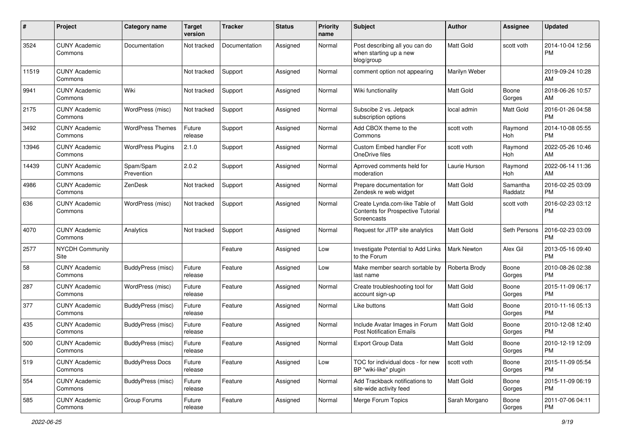| #     | Project                         | <b>Category name</b>     | <b>Target</b><br>version | <b>Tracker</b> | <b>Status</b> | <b>Priority</b><br>name | <b>Subject</b>                                                                            | Author           | <b>Assignee</b>     | <b>Updated</b>                |
|-------|---------------------------------|--------------------------|--------------------------|----------------|---------------|-------------------------|-------------------------------------------------------------------------------------------|------------------|---------------------|-------------------------------|
| 3524  | <b>CUNY Academic</b><br>Commons | Documentation            | Not tracked              | Documentation  | Assigned      | Normal                  | Post describing all you can do<br>when starting up a new<br>blog/group                    | <b>Matt Gold</b> | scott voth          | 2014-10-04 12:56<br>РM        |
| 11519 | <b>CUNY Academic</b><br>Commons |                          | Not tracked              | Support        | Assigned      | Normal                  | comment option not appearing                                                              | Marilyn Weber    |                     | 2019-09-24 10:28<br>AM        |
| 9941  | <b>CUNY Academic</b><br>Commons | Wiki                     | Not tracked              | Support        | Assigned      | Normal                  | Wiki functionality                                                                        | Matt Gold        | Boone<br>Gorges     | 2018-06-26 10:57<br>AM        |
| 2175  | <b>CUNY Academic</b><br>Commons | WordPress (misc)         | Not tracked              | Support        | Assigned      | Normal                  | Subscibe 2 vs. Jetpack<br>subscription options                                            | local admin      | Matt Gold           | 2016-01-26 04:58<br><b>PM</b> |
| 3492  | <b>CUNY Academic</b><br>Commons | <b>WordPress Themes</b>  | Future<br>release        | Support        | Assigned      | Normal                  | Add CBOX theme to the<br>Commons                                                          | scott voth       | Raymond<br>Hoh      | 2014-10-08 05:55<br><b>PM</b> |
| 13946 | <b>CUNY Academic</b><br>Commons | <b>WordPress Plugins</b> | 2.1.0                    | Support        | Assigned      | Normal                  | Custom Embed handler For<br>OneDrive files                                                | scott voth       | Raymond<br>Hoh      | 2022-05-26 10:46<br>AM        |
| 14439 | <b>CUNY Academic</b><br>Commons | Spam/Spam<br>Prevention  | 2.0.2                    | Support        | Assigned      | Normal                  | Aprroved comments held for<br>moderation                                                  | Laurie Hurson    | Raymond<br>Hoh      | 2022-06-14 11:36<br>AM        |
| 4986  | <b>CUNY Academic</b><br>Commons | ZenDesk                  | Not tracked              | Support        | Assigned      | Normal                  | Prepare documentation for<br>Zendesk re web widget                                        | <b>Matt Gold</b> | Samantha<br>Raddatz | 2016-02-25 03:09<br><b>PM</b> |
| 636   | <b>CUNY Academic</b><br>Commons | WordPress (misc)         | Not tracked              | Support        | Assigned      | Normal                  | Create Lynda.com-like Table of<br><b>Contents for Prospective Tutorial</b><br>Screencasts | Matt Gold        | scott voth          | 2016-02-23 03:12<br><b>PM</b> |
| 4070  | <b>CUNY Academic</b><br>Commons | Analytics                | Not tracked              | Support        | Assigned      | Normal                  | Request for JITP site analytics                                                           | Matt Gold        | Seth Persons        | 2016-02-23 03:09<br><b>PM</b> |
| 2577  | <b>NYCDH Community</b><br>Site  |                          |                          | Feature        | Assigned      | Low                     | Investigate Potential to Add Links<br>to the Forum                                        | Mark Newton      | Alex Gil            | 2013-05-16 09:40<br><b>PM</b> |
| 58    | <b>CUNY Academic</b><br>Commons | BuddyPress (misc)        | Future<br>release        | Feature        | Assigned      | Low                     | Make member search sortable by<br>last name                                               | Roberta Brody    | Boone<br>Gorges     | 2010-08-26 02:38<br><b>PM</b> |
| 287   | <b>CUNY Academic</b><br>Commons | WordPress (misc)         | Future<br>release        | Feature        | Assigned      | Normal                  | Create troubleshooting tool for<br>account sign-up                                        | Matt Gold        | Boone<br>Gorges     | 2015-11-09 06:17<br><b>PM</b> |
| 377   | <b>CUNY Academic</b><br>Commons | BuddyPress (misc)        | Future<br>release        | Feature        | Assigned      | Normal                  | Like buttons                                                                              | Matt Gold        | Boone<br>Gorges     | 2010-11-16 05:13<br><b>PM</b> |
| 435   | <b>CUNY Academic</b><br>Commons | BuddyPress (misc)        | Future<br>release        | Feature        | Assigned      | Normal                  | Include Avatar Images in Forum<br><b>Post Notification Emails</b>                         | <b>Matt Gold</b> | Boone<br>Gorges     | 2010-12-08 12:40<br><b>PM</b> |
| 500   | <b>CUNY Academic</b><br>Commons | BuddyPress (misc)        | Future<br>release        | Feature        | Assigned      | Normal                  | <b>Export Group Data</b>                                                                  | Matt Gold        | Boone<br>Gorges     | 2010-12-19 12:09<br>PM        |
| 519   | <b>CUNY Academic</b><br>Commons | <b>BuddyPress Docs</b>   | Future<br>release        | Feature        | Assigned      | Low                     | TOC for individual docs - for new<br>BP "wiki-like" plugin                                | scott voth       | Boone<br>Gorges     | 2015-11-09 05:54<br><b>PM</b> |
| 554   | <b>CUNY Academic</b><br>Commons | BuddyPress (misc)        | Future<br>release        | Feature        | Assigned      | Normal                  | Add Trackback notifications to<br>site-wide activity feed                                 | Matt Gold        | Boone<br>Gorges     | 2015-11-09 06:19<br><b>PM</b> |
| 585   | <b>CUNY Academic</b><br>Commons | Group Forums             | Future<br>release        | Feature        | Assigned      | Normal                  | Merge Forum Topics                                                                        | Sarah Morgano    | Boone<br>Gorges     | 2011-07-06 04:11<br><b>PM</b> |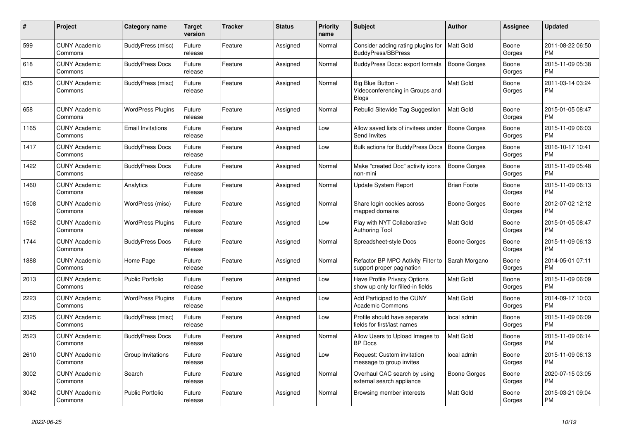| $\#$ | Project                         | Category name            | Target<br>version | Tracker | <b>Status</b> | <b>Priority</b><br>name | <b>Subject</b>                                                       | <b>Author</b>       | Assignee        | <b>Updated</b>                |
|------|---------------------------------|--------------------------|-------------------|---------|---------------|-------------------------|----------------------------------------------------------------------|---------------------|-----------------|-------------------------------|
| 599  | <b>CUNY Academic</b><br>Commons | BuddyPress (misc)        | Future<br>release | Feature | Assigned      | Normal                  | Consider adding rating plugins for<br><b>BuddyPress/BBPress</b>      | <b>Matt Gold</b>    | Boone<br>Gorges | 2011-08-22 06:50<br><b>PM</b> |
| 618  | <b>CUNY Academic</b><br>Commons | <b>BuddyPress Docs</b>   | Future<br>release | Feature | Assigned      | Normal                  | BuddyPress Docs: export formats                                      | <b>Boone Gorges</b> | Boone<br>Gorges | 2015-11-09 05:38<br><b>PM</b> |
| 635  | CUNY Academic<br>Commons        | BuddyPress (misc)        | Future<br>release | Feature | Assigned      | Normal                  | Big Blue Button -<br>Videoconferencing in Groups and<br><b>Blogs</b> | Matt Gold           | Boone<br>Gorges | 2011-03-14 03:24<br><b>PM</b> |
| 658  | <b>CUNY Academic</b><br>Commons | <b>WordPress Plugins</b> | Future<br>release | Feature | Assigned      | Normal                  | Rebulid Sitewide Tag Suggestion                                      | <b>Matt Gold</b>    | Boone<br>Gorges | 2015-01-05 08:47<br><b>PM</b> |
| 1165 | <b>CUNY Academic</b><br>Commons | <b>Email Invitations</b> | Future<br>release | Feature | Assigned      | Low                     | Allow saved lists of invitees under<br>Send Invites                  | Boone Gorges        | Boone<br>Gorges | 2015-11-09 06:03<br><b>PM</b> |
| 1417 | <b>CUNY Academic</b><br>Commons | <b>BuddyPress Docs</b>   | Future<br>release | Feature | Assigned      | Low                     | Bulk actions for BuddyPress Docs                                     | <b>Boone Gorges</b> | Boone<br>Gorges | 2016-10-17 10:41<br><b>PM</b> |
| 1422 | <b>CUNY Academic</b><br>Commons | <b>BuddyPress Docs</b>   | Future<br>release | Feature | Assigned      | Normal                  | Make "created Doc" activity icons<br>non-mini                        | Boone Gorges        | Boone<br>Gorges | 2015-11-09 05:48<br><b>PM</b> |
| 1460 | <b>CUNY Academic</b><br>Commons | Analytics                | Future<br>release | Feature | Assigned      | Normal                  | Update System Report                                                 | <b>Brian Foote</b>  | Boone<br>Gorges | 2015-11-09 06:13<br><b>PM</b> |
| 1508 | <b>CUNY Academic</b><br>Commons | WordPress (misc)         | Future<br>release | Feature | Assigned      | Normal                  | Share login cookies across<br>mapped domains                         | Boone Gorges        | Boone<br>Gorges | 2012-07-02 12:12<br><b>PM</b> |
| 1562 | <b>CUNY Academic</b><br>Commons | <b>WordPress Plugins</b> | Future<br>release | Feature | Assigned      | Low                     | Play with NYT Collaborative<br><b>Authoring Tool</b>                 | <b>Matt Gold</b>    | Boone<br>Gorges | 2015-01-05 08:47<br><b>PM</b> |
| 1744 | <b>CUNY Academic</b><br>Commons | <b>BuddyPress Docs</b>   | Future<br>release | Feature | Assigned      | Normal                  | Spreadsheet-style Docs                                               | Boone Gorges        | Boone<br>Gorges | 2015-11-09 06:13<br><b>PM</b> |
| 1888 | <b>CUNY Academic</b><br>Commons | Home Page                | Future<br>release | Feature | Assigned      | Normal                  | Refactor BP MPO Activity Filter to<br>support proper pagination      | Sarah Morgano       | Boone<br>Gorges | 2014-05-01 07:11<br><b>PM</b> |
| 2013 | <b>CUNY Academic</b><br>Commons | Public Portfolio         | Future<br>release | Feature | Assigned      | Low                     | Have Profile Privacy Options<br>show up only for filled-in fields    | Matt Gold           | Boone<br>Gorges | 2015-11-09 06:09<br><b>PM</b> |
| 2223 | <b>CUNY Academic</b><br>Commons | <b>WordPress Plugins</b> | Future<br>release | Feature | Assigned      | Low                     | Add Participad to the CUNY<br><b>Academic Commons</b>                | Matt Gold           | Boone<br>Gorges | 2014-09-17 10:03<br><b>PM</b> |
| 2325 | <b>CUNY Academic</b><br>Commons | BuddyPress (misc)        | Future<br>release | Feature | Assigned      | Low                     | Profile should have separate<br>fields for first/last names          | local admin         | Boone<br>Gorges | 2015-11-09 06:09<br><b>PM</b> |
| 2523 | <b>CUNY Academic</b><br>Commons | <b>BuddyPress Docs</b>   | Future<br>release | Feature | Assigned      | Normal                  | Allow Users to Upload Images to<br><b>BP</b> Docs                    | <b>Matt Gold</b>    | Boone<br>Gorges | 2015-11-09 06:14<br><b>PM</b> |
| 2610 | <b>CUNY Academic</b><br>Commons | Group Invitations        | Future<br>release | Feature | Assigned      | Low                     | Request: Custom invitation<br>message to group invites               | local admin         | Boone<br>Gorges | 2015-11-09 06:13<br><b>PM</b> |
| 3002 | <b>CUNY Academic</b><br>Commons | Search                   | Future<br>release | Feature | Assigned      | Normal                  | Overhaul CAC search by using<br>external search appliance            | Boone Gorges        | Boone<br>Gorges | 2020-07-15 03:05<br><b>PM</b> |
| 3042 | <b>CUNY Academic</b><br>Commons | Public Portfolio         | Future<br>release | Feature | Assigned      | Normal                  | Browsing member interests                                            | <b>Matt Gold</b>    | Boone<br>Gorges | 2015-03-21 09:04<br><b>PM</b> |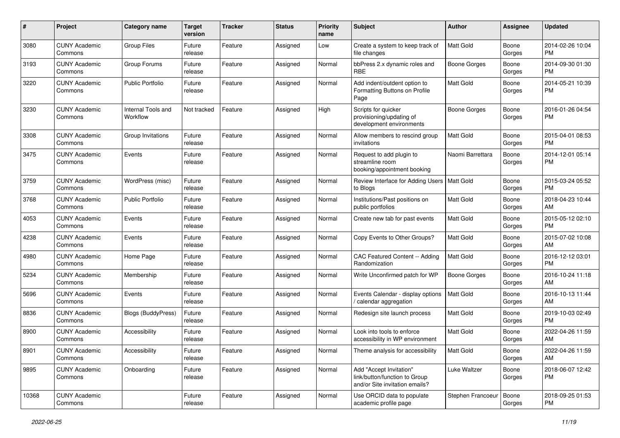| #     | Project                         | <b>Category name</b>           | <b>Target</b><br>version | <b>Tracker</b> | <b>Status</b> | <b>Priority</b><br>name | <b>Subject</b>                                                                             | Author              | <b>Assignee</b> | <b>Updated</b>                |
|-------|---------------------------------|--------------------------------|--------------------------|----------------|---------------|-------------------------|--------------------------------------------------------------------------------------------|---------------------|-----------------|-------------------------------|
| 3080  | <b>CUNY Academic</b><br>Commons | <b>Group Files</b>             | Future<br>release        | Feature        | Assigned      | Low                     | Create a system to keep track of<br>file changes                                           | Matt Gold           | Boone<br>Gorges | 2014-02-26 10:04<br><b>PM</b> |
| 3193  | <b>CUNY Academic</b><br>Commons | Group Forums                   | Future<br>release        | Feature        | Assigned      | Normal                  | bbPress 2.x dynamic roles and<br><b>RBE</b>                                                | <b>Boone Gorges</b> | Boone<br>Gorges | 2014-09-30 01:30<br><b>PM</b> |
| 3220  | <b>CUNY Academic</b><br>Commons | <b>Public Portfolio</b>        | Future<br>release        | Feature        | Assigned      | Normal                  | Add indent/outdent option to<br>Formatting Buttons on Profile<br>Page                      | Matt Gold           | Boone<br>Gorges | 2014-05-21 10:39<br><b>PM</b> |
| 3230  | <b>CUNY Academic</b><br>Commons | Internal Tools and<br>Workflow | Not tracked              | Feature        | Assigned      | High                    | Scripts for quicker<br>provisioning/updating of<br>development environments                | <b>Boone Gorges</b> | Boone<br>Gorges | 2016-01-26 04:54<br><b>PM</b> |
| 3308  | <b>CUNY Academic</b><br>Commons | Group Invitations              | Future<br>release        | Feature        | Assigned      | Normal                  | Allow members to rescind group<br>invitations                                              | Matt Gold           | Boone<br>Gorges | 2015-04-01 08:53<br><b>PM</b> |
| 3475  | <b>CUNY Academic</b><br>Commons | Events                         | Future<br>release        | Feature        | Assigned      | Normal                  | Request to add plugin to<br>streamline room<br>booking/appointment booking                 | Naomi Barrettara    | Boone<br>Gorges | 2014-12-01 05:14<br><b>PM</b> |
| 3759  | <b>CUNY Academic</b><br>Commons | WordPress (misc)               | Future<br>release        | Feature        | Assigned      | Normal                  | Review Interface for Adding Users<br>to Blogs                                              | Matt Gold           | Boone<br>Gorges | 2015-03-24 05:52<br><b>PM</b> |
| 3768  | <b>CUNY Academic</b><br>Commons | <b>Public Portfolio</b>        | Future<br>release        | Feature        | Assigned      | Normal                  | Institutions/Past positions on<br>public portfolios                                        | <b>Matt Gold</b>    | Boone<br>Gorges | 2018-04-23 10:44<br>AM        |
| 4053  | <b>CUNY Academic</b><br>Commons | Events                         | Future<br>release        | Feature        | Assigned      | Normal                  | Create new tab for past events                                                             | Matt Gold           | Boone<br>Gorges | 2015-05-12 02:10<br><b>PM</b> |
| 4238  | <b>CUNY Academic</b><br>Commons | Events                         | Future<br>release        | Feature        | Assigned      | Normal                  | Copy Events to Other Groups?                                                               | Matt Gold           | Boone<br>Gorges | 2015-07-02 10:08<br>AM        |
| 4980  | <b>CUNY Academic</b><br>Commons | Home Page                      | Future<br>release        | Feature        | Assigned      | Normal                  | CAC Featured Content -- Adding<br>Randomization                                            | Matt Gold           | Boone<br>Gorges | 2016-12-12 03:01<br><b>PM</b> |
| 5234  | <b>CUNY Academic</b><br>Commons | Membership                     | Future<br>release        | Feature        | Assigned      | Normal                  | Write Unconfirmed patch for WP                                                             | <b>Boone Gorges</b> | Boone<br>Gorges | 2016-10-24 11:18<br>AM        |
| 5696  | <b>CUNY Academic</b><br>Commons | Events                         | Future<br>release        | Feature        | Assigned      | Normal                  | Events Calendar - display options<br>/ calendar aggregation                                | <b>Matt Gold</b>    | Boone<br>Gorges | 2016-10-13 11:44<br>AM        |
| 8836  | <b>CUNY Academic</b><br>Commons | Blogs (BuddyPress)             | Future<br>release        | Feature        | Assigned      | Normal                  | Redesign site launch process                                                               | Matt Gold           | Boone<br>Gorges | 2019-10-03 02:49<br><b>PM</b> |
| 8900  | <b>CUNY Academic</b><br>Commons | Accessibility                  | Future<br>release        | Feature        | Assigned      | Normal                  | Look into tools to enforce<br>accessibility in WP environment                              | <b>Matt Gold</b>    | Boone<br>Gorges | 2022-04-26 11:59<br>AM        |
| 8901  | <b>CUNY Academic</b><br>Commons | Accessibility                  | Future<br>release        | Feature        | Assigned      | Normal                  | Theme analysis for accessibility                                                           | Matt Gold           | Boone<br>Gorges | 2022-04-26 11:59<br>AM        |
| 9895  | <b>CUNY Academic</b><br>Commons | Onboarding                     | Future<br>release        | Feature        | Assigned      | Normal                  | Add "Accept Invitation"<br>link/button/function to Group<br>and/or Site invitation emails? | Luke Waltzer        | Boone<br>Gorges | 2018-06-07 12:42<br><b>PM</b> |
| 10368 | <b>CUNY Academic</b><br>Commons |                                | Future<br>release        | Feature        | Assigned      | Normal                  | Use ORCID data to populate<br>academic profile page                                        | Stephen Francoeur   | Boone<br>Gorges | 2018-09-25 01:53<br>PM        |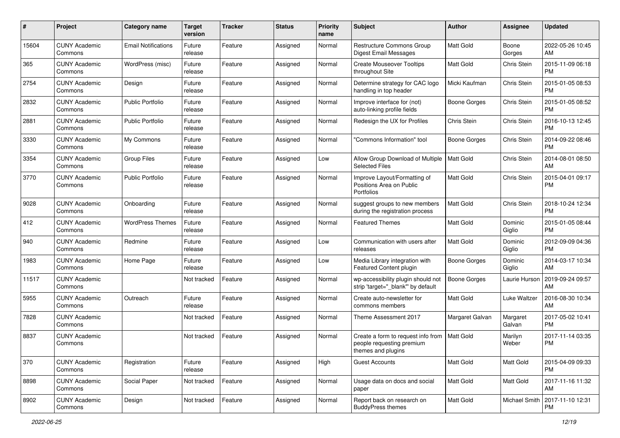| #     | Project                         | <b>Category name</b>       | <b>Target</b><br>version | <b>Tracker</b> | <b>Status</b> | <b>Priority</b><br>name | <b>Subject</b>                                                                        | Author              | Assignee           | <b>Updated</b>                |
|-------|---------------------------------|----------------------------|--------------------------|----------------|---------------|-------------------------|---------------------------------------------------------------------------------------|---------------------|--------------------|-------------------------------|
| 15604 | <b>CUNY Academic</b><br>Commons | <b>Email Notifications</b> | Future<br>release        | Feature        | Assigned      | Normal                  | <b>Restructure Commons Group</b><br>Digest Email Messages                             | <b>Matt Gold</b>    | Boone<br>Gorges    | 2022-05-26 10:45<br>AM        |
| 365   | <b>CUNY Academic</b><br>Commons | WordPress (misc)           | Future<br>release        | Feature        | Assigned      | Normal                  | <b>Create Mouseover Tooltips</b><br>throughout Site                                   | Matt Gold           | Chris Stein        | 2015-11-09 06:18<br><b>PM</b> |
| 2754  | <b>CUNY Academic</b><br>Commons | Design                     | Future<br>release        | Feature        | Assigned      | Normal                  | Determine strategy for CAC logo<br>handling in top header                             | Micki Kaufman       | Chris Stein        | 2015-01-05 08:53<br><b>PM</b> |
| 2832  | <b>CUNY Academic</b><br>Commons | <b>Public Portfolio</b>    | Future<br>release        | Feature        | Assigned      | Normal                  | Improve interface for (not)<br>auto-linking profile fields                            | <b>Boone Gorges</b> | Chris Stein        | 2015-01-05 08:52<br><b>PM</b> |
| 2881  | <b>CUNY Academic</b><br>Commons | <b>Public Portfolio</b>    | Future<br>release        | Feature        | Assigned      | Normal                  | Redesign the UX for Profiles                                                          | Chris Stein         | Chris Stein        | 2016-10-13 12:45<br><b>PM</b> |
| 3330  | <b>CUNY Academic</b><br>Commons | My Commons                 | Future<br>release        | Feature        | Assigned      | Normal                  | "Commons Information" tool                                                            | <b>Boone Gorges</b> | Chris Stein        | 2014-09-22 08:46<br><b>PM</b> |
| 3354  | <b>CUNY Academic</b><br>Commons | <b>Group Files</b>         | Future<br>release        | Feature        | Assigned      | Low                     | Allow Group Download of Multiple<br><b>Selected Files</b>                             | Matt Gold           | Chris Stein        | 2014-08-01 08:50<br>AM        |
| 3770  | <b>CUNY Academic</b><br>Commons | <b>Public Portfolio</b>    | Future<br>release        | Feature        | Assigned      | Normal                  | Improve Layout/Formatting of<br>Positions Area on Public<br>Portfolios                | <b>Matt Gold</b>    | Chris Stein        | 2015-04-01 09:17<br><b>PM</b> |
| 9028  | <b>CUNY Academic</b><br>Commons | Onboarding                 | Future<br>release        | Feature        | Assigned      | Normal                  | suggest groups to new members<br>during the registration process                      | Matt Gold           | Chris Stein        | 2018-10-24 12:34<br><b>PM</b> |
| 412   | <b>CUNY Academic</b><br>Commons | <b>WordPress Themes</b>    | Future<br>release        | Feature        | Assigned      | Normal                  | <b>Featured Themes</b>                                                                | Matt Gold           | Dominic<br>Giglio  | 2015-01-05 08:44<br><b>PM</b> |
| 940   | <b>CUNY Academic</b><br>Commons | Redmine                    | Future<br>release        | Feature        | Assigned      | Low                     | Communication with users after<br>releases                                            | Matt Gold           | Dominic<br>Giglio  | 2012-09-09 04:36<br><b>PM</b> |
| 1983  | <b>CUNY Academic</b><br>Commons | Home Page                  | Future<br>release        | Feature        | Assigned      | Low                     | Media Library integration with<br>Featured Content plugin                             | Boone Gorges        | Dominic<br>Giglio  | 2014-03-17 10:34<br>AM        |
| 11517 | <b>CUNY Academic</b><br>Commons |                            | Not tracked              | Feature        | Assigned      | Normal                  | wp-accessibility plugin should not<br>strip 'target="_blank"' by default              | <b>Boone Gorges</b> | Laurie Hurson      | 2019-09-24 09:57<br>AM        |
| 5955  | <b>CUNY Academic</b><br>Commons | Outreach                   | Future<br>release        | Feature        | Assigned      | Normal                  | Create auto-newsletter for<br>commons members                                         | Matt Gold           | Luke Waltzer       | 2016-08-30 10:34<br>AM        |
| 7828  | <b>CUNY Academic</b><br>Commons |                            | Not tracked              | Feature        | Assigned      | Normal                  | Theme Assessment 2017                                                                 | Margaret Galvan     | Margaret<br>Galvan | 2017-05-02 10:41<br><b>PM</b> |
| 8837  | <b>CUNY Academic</b><br>Commons |                            | Not tracked              | Feature        | Assigned      | Normal                  | Create a form to request info from<br>people requesting premium<br>themes and plugins | <b>Matt Gold</b>    | Marilyn<br>Weber   | 2017-11-14 03:35<br><b>PM</b> |
| 370   | <b>CUNY Academic</b><br>Commons | Registration               | Future<br>release        | Feature        | Assigned      | High                    | <b>Guest Accounts</b>                                                                 | Matt Gold           | Matt Gold          | 2015-04-09 09:33<br><b>PM</b> |
| 8898  | <b>CUNY Academic</b><br>Commons | Social Paper               | Not tracked              | Feature        | Assigned      | Normal                  | Usage data on docs and social<br>paper                                                | Matt Gold           | Matt Gold          | 2017-11-16 11:32<br>AM        |
| 8902  | <b>CUNY Academic</b><br>Commons | Design                     | Not tracked              | Feature        | Assigned      | Normal                  | Report back on research on<br><b>BuddyPress themes</b>                                | Matt Gold           | Michael Smith      | 2017-11-10 12:31<br>PM        |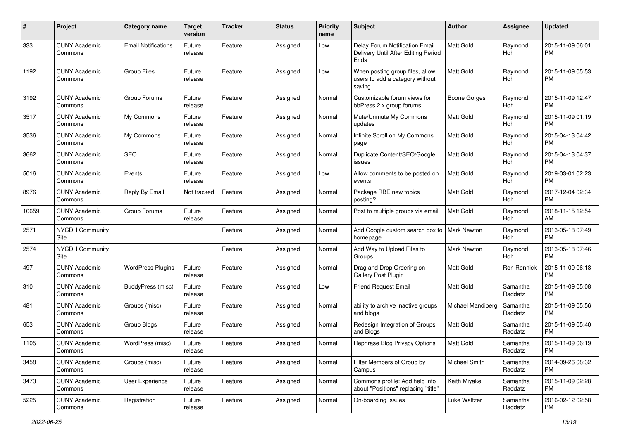| #     | Project                         | <b>Category name</b>       | Target<br>version | <b>Tracker</b> | <b>Status</b> | <b>Priority</b><br>name | <b>Subject</b>                                                                | Author              | Assignee            | <b>Updated</b>                |
|-------|---------------------------------|----------------------------|-------------------|----------------|---------------|-------------------------|-------------------------------------------------------------------------------|---------------------|---------------------|-------------------------------|
| 333   | <b>CUNY Academic</b><br>Commons | <b>Email Notifications</b> | Future<br>release | Feature        | Assigned      | Low                     | Delay Forum Notification Email<br>Delivery Until After Editing Period<br>Ends | Matt Gold           | Raymond<br>Hoh      | 2015-11-09 06:01<br><b>PM</b> |
| 1192  | <b>CUNY Academic</b><br>Commons | <b>Group Files</b>         | Future<br>release | Feature        | Assigned      | Low                     | When posting group files, allow<br>users to add a category without<br>saving  | <b>Matt Gold</b>    | Raymond<br>Hoh      | 2015-11-09 05:53<br>РM        |
| 3192  | <b>CUNY Academic</b><br>Commons | Group Forums               | Future<br>release | Feature        | Assigned      | Normal                  | Customizable forum views for<br>bbPress 2.x group forums                      | <b>Boone Gorges</b> | Raymond<br>Hoh      | 2015-11-09 12:47<br><b>PM</b> |
| 3517  | <b>CUNY Academic</b><br>Commons | My Commons                 | Future<br>release | Feature        | Assigned      | Normal                  | Mute/Unmute My Commons<br>updates                                             | Matt Gold           | Raymond<br>Hoh      | 2015-11-09 01:19<br><b>PM</b> |
| 3536  | <b>CUNY Academic</b><br>Commons | My Commons                 | Future<br>release | Feature        | Assigned      | Normal                  | Infinite Scroll on My Commons<br>page                                         | Matt Gold           | Raymond<br>Hoh      | 2015-04-13 04:42<br><b>PM</b> |
| 3662  | <b>CUNY Academic</b><br>Commons | <b>SEO</b>                 | Future<br>release | Feature        | Assigned      | Normal                  | Duplicate Content/SEO/Google<br>issues                                        | Matt Gold           | Raymond<br>Hoh      | 2015-04-13 04:37<br><b>PM</b> |
| 5016  | <b>CUNY Academic</b><br>Commons | Events                     | Future<br>release | Feature        | Assigned      | Low                     | Allow comments to be posted on<br>events                                      | <b>Matt Gold</b>    | Raymond<br>Hoh      | 2019-03-01 02:23<br><b>PM</b> |
| 8976  | <b>CUNY Academic</b><br>Commons | Reply By Email             | Not tracked       | Feature        | Assigned      | Normal                  | Package RBE new topics<br>posting?                                            | Matt Gold           | Raymond<br>Hoh      | 2017-12-04 02:34<br><b>PM</b> |
| 10659 | <b>CUNY Academic</b><br>Commons | Group Forums               | Future<br>release | Feature        | Assigned      | Normal                  | Post to multiple groups via email                                             | Matt Gold           | Raymond<br>Hoh      | 2018-11-15 12:54<br>AM        |
| 2571  | NYCDH Community<br>Site         |                            |                   | Feature        | Assigned      | Normal                  | Add Google custom search box to<br>homepage                                   | <b>Mark Newton</b>  | Raymond<br>Hoh      | 2013-05-18 07:49<br><b>PM</b> |
| 2574  | <b>NYCDH Community</b><br>Site  |                            |                   | Feature        | Assigned      | Normal                  | Add Way to Upload Files to<br>Groups                                          | Mark Newton         | Raymond<br>Hoh      | 2013-05-18 07:46<br><b>PM</b> |
| 497   | <b>CUNY Academic</b><br>Commons | <b>WordPress Plugins</b>   | Future<br>release | Feature        | Assigned      | Normal                  | Drag and Drop Ordering on<br>Gallery Post Plugin                              | Matt Gold           | Ron Rennick         | 2015-11-09 06:18<br><b>PM</b> |
| 310   | <b>CUNY Academic</b><br>Commons | BuddyPress (misc)          | Future<br>release | Feature        | Assigned      | Low                     | <b>Friend Request Email</b>                                                   | <b>Matt Gold</b>    | Samantha<br>Raddatz | 2015-11-09 05:08<br><b>PM</b> |
| 481   | <b>CUNY Academic</b><br>Commons | Groups (misc)              | Future<br>release | Feature        | Assigned      | Normal                  | ability to archive inactive groups<br>and blogs                               | Michael Mandiberg   | Samantha<br>Raddatz | 2015-11-09 05:56<br><b>PM</b> |
| 653   | <b>CUNY Academic</b><br>Commons | Group Blogs                | Future<br>release | Feature        | Assigned      | Normal                  | Redesign Integration of Groups<br>and Blogs                                   | Matt Gold           | Samantha<br>Raddatz | 2015-11-09 05:40<br><b>PM</b> |
| 1105  | <b>CUNY Academic</b><br>Commons | WordPress (misc)           | Future<br>release | Feature        | Assigned      | Normal                  | Rephrase Blog Privacy Options                                                 | Matt Gold           | Samantha<br>Raddatz | 2015-11-09 06:19<br>PM        |
| 3458  | <b>CUNY Academic</b><br>Commons | Groups (misc)              | Future<br>release | Feature        | Assigned      | Normal                  | Filter Members of Group by<br>Campus                                          | Michael Smith       | Samantha<br>Raddatz | 2014-09-26 08:32<br><b>PM</b> |
| 3473  | <b>CUNY Academic</b><br>Commons | User Experience            | Future<br>release | Feature        | Assigned      | Normal                  | Commons profile: Add help info<br>about "Positions" replacing "title"         | Keith Miyake        | Samantha<br>Raddatz | 2015-11-09 02:28<br>PM        |
| 5225  | <b>CUNY Academic</b><br>Commons | Registration               | Future<br>release | Feature        | Assigned      | Normal                  | On-boarding Issues                                                            | Luke Waltzer        | Samantha<br>Raddatz | 2016-02-12 02:58<br>PM        |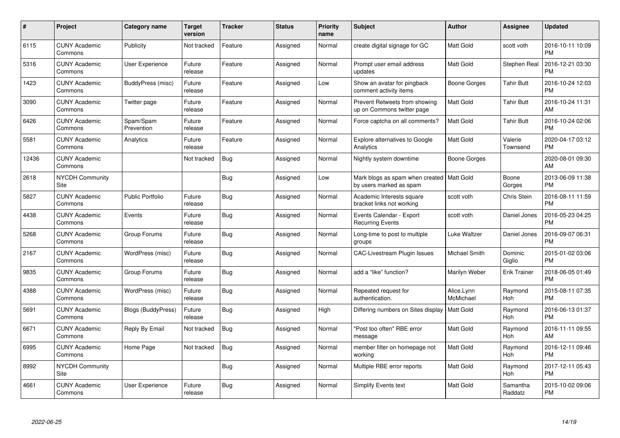| #     | Project                         | Category name             | <b>Target</b><br>version | <b>Tracker</b> | <b>Status</b> | <b>Priority</b><br>name | <b>Subject</b>                                                         | Author                  | <b>Assignee</b>       | <b>Updated</b>                |
|-------|---------------------------------|---------------------------|--------------------------|----------------|---------------|-------------------------|------------------------------------------------------------------------|-------------------------|-----------------------|-------------------------------|
| 6115  | <b>CUNY Academic</b><br>Commons | Publicity                 | Not tracked              | Feature        | Assigned      | Normal                  | create digital signage for GC                                          | <b>Matt Gold</b>        | scott voth            | 2016-10-11 10:09<br><b>PM</b> |
| 5316  | <b>CUNY Academic</b><br>Commons | <b>User Experience</b>    | Future<br>release        | Feature        | Assigned      | Normal                  | Prompt user email address<br>updates                                   | <b>Matt Gold</b>        | Stephen Real          | 2016-12-21 03:30<br><b>PM</b> |
| 1423  | <b>CUNY Academic</b><br>Commons | BuddyPress (misc)         | Future<br>release        | Feature        | Assigned      | Low                     | Show an avatar for pingback<br>comment activity items                  | Boone Gorges            | <b>Tahir Butt</b>     | 2016-10-24 12:03<br><b>PM</b> |
| 3090  | <b>CUNY Academic</b><br>Commons | Twitter page              | Future<br>release        | Feature        | Assigned      | Normal                  | Prevent Retweets from showing<br>up on Commons twitter page            | Matt Gold               | <b>Tahir Butt</b>     | 2016-10-24 11:31<br>AM        |
| 6426  | <b>CUNY Academic</b><br>Commons | Spam/Spam<br>Prevention   | Future<br>release        | Feature        | Assigned      | Normal                  | Force captcha on all comments?                                         | <b>Matt Gold</b>        | <b>Tahir Butt</b>     | 2016-10-24 02:06<br><b>PM</b> |
| 5581  | <b>CUNY Academic</b><br>Commons | Analytics                 | Future<br>release        | Feature        | Assigned      | Normal                  | Explore alternatives to Google<br>Analytics                            | <b>Matt Gold</b>        | Valerie<br>Townsend   | 2020-04-17 03:12<br>PM        |
| 12436 | <b>CUNY Academic</b><br>Commons |                           | Not tracked              | Bug            | Assigned      | Normal                  | Nightly system downtime                                                | <b>Boone Gorges</b>     |                       | 2020-08-01 09:30<br>AM        |
| 2618  | <b>NYCDH Community</b><br>Site  |                           |                          | Bug            | Assigned      | Low                     | Mark blogs as spam when created   Matt Gold<br>by users marked as spam |                         | Boone<br>Gorges       | 2013-06-09 11:38<br><b>PM</b> |
| 5827  | <b>CUNY Academic</b><br>Commons | <b>Public Portfolio</b>   | Future<br>release        | Bug            | Assigned      | Normal                  | Academic Interests square<br>bracket links not working                 | scott voth              | Chris Stein           | 2016-08-11 11:59<br><b>PM</b> |
| 4438  | <b>CUNY Academic</b><br>Commons | Events                    | Future<br>release        | Bug            | Assigned      | Normal                  | Events Calendar - Export<br><b>Recurring Events</b>                    | scott voth              | Daniel Jones          | 2016-05-23 04:25<br><b>PM</b> |
| 5268  | <b>CUNY Academic</b><br>Commons | Group Forums              | Future<br>release        | <b>Bug</b>     | Assigned      | Normal                  | Long-time to post to multiple<br>groups                                | Luke Waltzer            | Daniel Jones          | 2016-09-07 06:31<br><b>PM</b> |
| 2167  | <b>CUNY Academic</b><br>Commons | WordPress (misc)          | Future<br>release        | <b>Bug</b>     | Assigned      | Normal                  | <b>CAC-Livestream Plugin Issues</b>                                    | Michael Smith           | Dominic<br>Giglio     | 2015-01-02 03:06<br><b>PM</b> |
| 9835  | <b>CUNY Academic</b><br>Commons | Group Forums              | Future<br>release        | Bug            | Assigned      | Normal                  | add a "like" function?                                                 | Marilyn Weber           | <b>Erik Trainer</b>   | 2018-06-05 01:49<br><b>PM</b> |
| 4388  | <b>CUNY Academic</b><br>Commons | WordPress (misc)          | Future<br>release        | Bug            | Assigned      | Normal                  | Repeated request for<br>authentication.                                | Alice.Lynn<br>McMichael | Raymond<br>Hoh        | 2015-08-11 07:35<br><b>PM</b> |
| 5691  | <b>CUNY Academic</b><br>Commons | <b>Blogs (BuddyPress)</b> | Future<br>release        | <b>Bug</b>     | Assigned      | High                    | Differing numbers on Sites display                                     | <b>Matt Gold</b>        | Raymond<br>Hoh        | 2016-06-13 01:37<br><b>PM</b> |
| 6671  | <b>CUNY Academic</b><br>Commons | Reply By Email            | Not tracked              | Bug            | Assigned      | Normal                  | 'Post too often" RBE error<br>message                                  | <b>Matt Gold</b>        | Raymond<br>Hoh        | 2016-11-11 09:55<br>AM        |
| 6995  | <b>CUNY Academic</b><br>Commons | Home Page                 | Not tracked              | Bug            | Assigned      | Normal                  | member filter on homepage not<br>working                               | <b>Matt Gold</b>        | Raymond<br><b>Hoh</b> | 2016-12-11 09:46<br><b>PM</b> |
| 8992  | <b>NYCDH Community</b><br>Site  |                           |                          | Bug            | Assigned      | Normal                  | Multiple RBE error reports                                             | <b>Matt Gold</b>        | Raymond<br>Hoh        | 2017-12-11 05:43<br><b>PM</b> |
| 4661  | <b>CUNY Academic</b><br>Commons | User Experience           | Future<br>release        | <b>Bug</b>     | Assigned      | Normal                  | <b>Simplify Events text</b>                                            | <b>Matt Gold</b>        | Samantha<br>Raddatz   | 2015-10-02 09:06<br>PM        |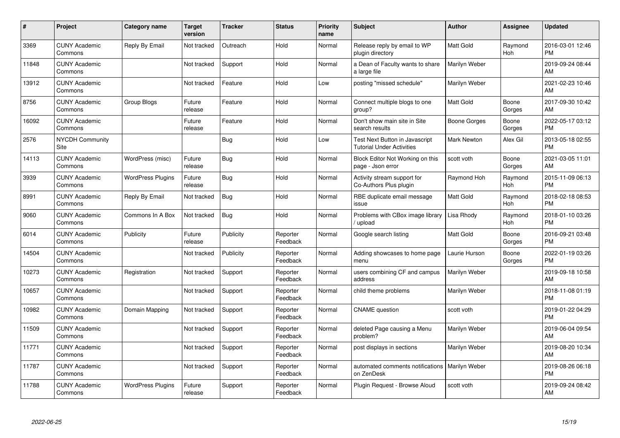| $\#$  | <b>Project</b>                  | <b>Category name</b>     | <b>Target</b><br>version | <b>Tracker</b> | <b>Status</b>        | <b>Priority</b><br>name | <b>Subject</b>                                                            | Author              | <b>Assignee</b>       | <b>Updated</b>                |
|-------|---------------------------------|--------------------------|--------------------------|----------------|----------------------|-------------------------|---------------------------------------------------------------------------|---------------------|-----------------------|-------------------------------|
| 3369  | <b>CUNY Academic</b><br>Commons | Reply By Email           | Not tracked              | Outreach       | Hold                 | Normal                  | Release reply by email to WP<br>plugin directory                          | <b>Matt Gold</b>    | Raymond<br>Hoh        | 2016-03-01 12:46<br><b>PM</b> |
| 11848 | <b>CUNY Academic</b><br>Commons |                          | Not tracked              | Support        | Hold                 | Normal                  | a Dean of Faculty wants to share<br>a large file                          | Marilyn Weber       |                       | 2019-09-24 08:44<br>AM        |
| 13912 | <b>CUNY Academic</b><br>Commons |                          | Not tracked              | Feature        | Hold                 | Low                     | posting "missed schedule"                                                 | Marilyn Weber       |                       | 2021-02-23 10:46<br>AM        |
| 8756  | <b>CUNY Academic</b><br>Commons | Group Blogs              | Future<br>release        | Feature        | Hold                 | Normal                  | Connect multiple blogs to one<br>group?                                   | <b>Matt Gold</b>    | Boone<br>Gorges       | 2017-09-30 10:42<br>AM        |
| 16092 | <b>CUNY Academic</b><br>Commons |                          | Future<br>release        | Feature        | Hold                 | Normal                  | Don't show main site in Site<br>search results                            | <b>Boone Gorges</b> | Boone<br>Gorges       | 2022-05-17 03:12<br><b>PM</b> |
| 2576  | <b>NYCDH Community</b><br>Site  |                          |                          | Bug            | Hold                 | Low                     | <b>Test Next Button in Javascript</b><br><b>Tutorial Under Activities</b> | <b>Mark Newton</b>  | Alex Gil              | 2013-05-18 02:55<br><b>PM</b> |
| 14113 | <b>CUNY Academic</b><br>Commons | WordPress (misc)         | Future<br>release        | Bug            | Hold                 | Normal                  | Block Editor Not Working on this<br>page - Json error                     | scott voth          | Boone<br>Gorges       | 2021-03-05 11:01<br>AM        |
| 3939  | <b>CUNY Academic</b><br>Commons | <b>WordPress Plugins</b> | Future<br>release        | Bug            | Hold                 | Normal                  | Activity stream support for<br>Co-Authors Plus plugin                     | Raymond Hoh         | Raymond<br><b>Hoh</b> | 2015-11-09 06:13<br><b>PM</b> |
| 8991  | <b>CUNY Academic</b><br>Commons | Reply By Email           | Not tracked              | Bug            | Hold                 | Normal                  | RBE duplicate email message<br>issue                                      | <b>Matt Gold</b>    | Raymond<br>Hoh        | 2018-02-18 08:53<br><b>PM</b> |
| 9060  | <b>CUNY Academic</b><br>Commons | Commons In A Box         | Not tracked              | <b>Bug</b>     | Hold                 | Normal                  | Problems with CBox image library<br>upload                                | Lisa Rhody          | Raymond<br>Hoh        | 2018-01-10 03:26<br><b>PM</b> |
| 6014  | <b>CUNY Academic</b><br>Commons | Publicity                | Future<br>release        | Publicity      | Reporter<br>Feedback | Normal                  | Google search listing                                                     | Matt Gold           | Boone<br>Gorges       | 2016-09-21 03:48<br><b>PM</b> |
| 14504 | <b>CUNY Academic</b><br>Commons |                          | Not tracked              | Publicity      | Reporter<br>Feedback | Normal                  | Adding showcases to home page<br>menu                                     | Laurie Hurson       | Boone<br>Gorges       | 2022-01-19 03:26<br><b>PM</b> |
| 10273 | <b>CUNY Academic</b><br>Commons | Registration             | Not tracked              | Support        | Reporter<br>Feedback | Normal                  | users combining CF and campus<br>address                                  | Marilyn Weber       |                       | 2019-09-18 10:58<br>AM        |
| 10657 | <b>CUNY Academic</b><br>Commons |                          | Not tracked              | Support        | Reporter<br>Feedback | Normal                  | child theme problems                                                      | Marilyn Weber       |                       | 2018-11-08 01:19<br><b>PM</b> |
| 10982 | <b>CUNY Academic</b><br>Commons | Domain Mapping           | Not tracked              | Support        | Reporter<br>Feedback | Normal                  | <b>CNAME</b> question                                                     | scott voth          |                       | 2019-01-22 04:29<br><b>PM</b> |
| 11509 | <b>CUNY Academic</b><br>Commons |                          | Not tracked              | Support        | Reporter<br>Feedback | Normal                  | deleted Page causing a Menu<br>problem?                                   | Marilyn Weber       |                       | 2019-06-04 09:54<br>AM        |
| 11771 | <b>CUNY Academic</b><br>Commons |                          | Not tracked              | Support        | Reporter<br>Feedback | Normal                  | post displays in sections                                                 | Marilyn Weber       |                       | 2019-08-20 10:34<br>AM        |
| 11787 | <b>CUNY Academic</b><br>Commons |                          | Not tracked              | Support        | Reporter<br>Feedback | Normal                  | automated comments notifications<br>on ZenDesk                            | Marilyn Weber       |                       | 2019-08-26 06:18<br><b>PM</b> |
| 11788 | <b>CUNY Academic</b><br>Commons | <b>WordPress Plugins</b> | Future<br>release        | Support        | Reporter<br>Feedback | Normal                  | Plugin Request - Browse Aloud                                             | scott voth          |                       | 2019-09-24 08:42<br>AM        |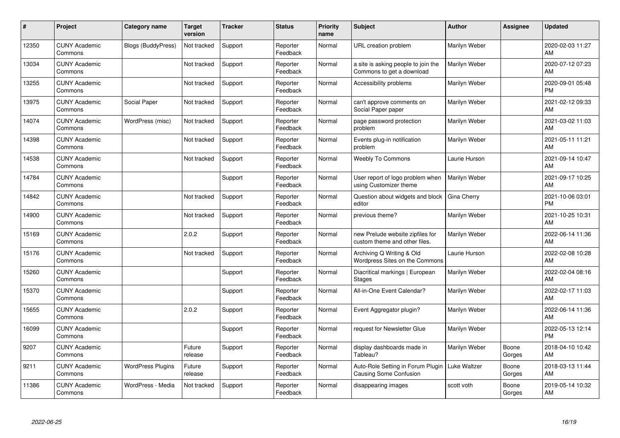| $\#$  | Project                         | <b>Category name</b>      | <b>Target</b><br>version | <b>Tracker</b> | <b>Status</b>        | <b>Priority</b><br>name | <b>Subject</b>                                                    | <b>Author</b> | <b>Assignee</b> | <b>Updated</b>                |
|-------|---------------------------------|---------------------------|--------------------------|----------------|----------------------|-------------------------|-------------------------------------------------------------------|---------------|-----------------|-------------------------------|
| 12350 | <b>CUNY Academic</b><br>Commons | <b>Blogs (BuddyPress)</b> | Not tracked              | Support        | Reporter<br>Feedback | Normal                  | <b>URL</b> creation problem                                       | Marilyn Weber |                 | 2020-02-03 11:27<br>AM        |
| 13034 | <b>CUNY Academic</b><br>Commons |                           | Not tracked              | Support        | Reporter<br>Feedback | Normal                  | a site is asking people to join the<br>Commons to get a download  | Marilyn Weber |                 | 2020-07-12 07:23<br>AM        |
| 13255 | <b>CUNY Academic</b><br>Commons |                           | Not tracked              | Support        | Reporter<br>Feedback | Normal                  | Accessibility problems                                            | Marilyn Weber |                 | 2020-09-01 05:48<br><b>PM</b> |
| 13975 | <b>CUNY Academic</b><br>Commons | Social Paper              | Not tracked              | Support        | Reporter<br>Feedback | Normal                  | can't approve comments on<br>Social Paper paper                   | Marilyn Weber |                 | 2021-02-12 09:33<br>AM        |
| 14074 | <b>CUNY Academic</b><br>Commons | WordPress (misc)          | Not tracked              | Support        | Reporter<br>Feedback | Normal                  | page password protection<br>problem                               | Marilyn Weber |                 | 2021-03-02 11:03<br>AM        |
| 14398 | <b>CUNY Academic</b><br>Commons |                           | Not tracked              | Support        | Reporter<br>Feedback | Normal                  | Events plug-in notification<br>problem                            | Marilyn Weber |                 | 2021-05-11 11:21<br>AM        |
| 14538 | <b>CUNY Academic</b><br>Commons |                           | Not tracked              | Support        | Reporter<br>Feedback | Normal                  | <b>Weebly To Commons</b>                                          | Laurie Hurson |                 | 2021-09-14 10:47<br>AM        |
| 14784 | <b>CUNY Academic</b><br>Commons |                           |                          | Support        | Reporter<br>Feedback | Normal                  | User report of logo problem when<br>using Customizer theme        | Marilyn Weber |                 | 2021-09-17 10:25<br>AM        |
| 14842 | <b>CUNY Academic</b><br>Commons |                           | Not tracked              | Support        | Reporter<br>Feedback | Normal                  | Question about widgets and block<br>editor                        | Gina Cherry   |                 | 2021-10-06 03:01<br><b>PM</b> |
| 14900 | <b>CUNY Academic</b><br>Commons |                           | Not tracked              | Support        | Reporter<br>Feedback | Normal                  | previous theme?                                                   | Marilyn Weber |                 | 2021-10-25 10:31<br>AM        |
| 15169 | <b>CUNY Academic</b><br>Commons |                           | 2.0.2                    | Support        | Reporter<br>Feedback | Normal                  | new Prelude website zipfiles for<br>custom theme and other files. | Marilyn Weber |                 | 2022-06-14 11:36<br>AM        |
| 15176 | <b>CUNY Academic</b><br>Commons |                           | Not tracked              | Support        | Reporter<br>Feedback | Normal                  | Archiving Q Writing & Old<br>Wordpress Sites on the Commons       | Laurie Hurson |                 | 2022-02-08 10:28<br>AM        |
| 15260 | <b>CUNY Academic</b><br>Commons |                           |                          | Support        | Reporter<br>Feedback | Normal                  | Diacritical markings   European<br><b>Stages</b>                  | Marilyn Weber |                 | 2022-02-04 08:16<br>AM        |
| 15370 | <b>CUNY Academic</b><br>Commons |                           |                          | Support        | Reporter<br>Feedback | Normal                  | All-in-One Event Calendar?                                        | Marilyn Weber |                 | 2022-02-17 11:03<br>AM        |
| 15655 | <b>CUNY Academic</b><br>Commons |                           | 2.0.2                    | Support        | Reporter<br>Feedback | Normal                  | Event Aggregator plugin?                                          | Marilyn Weber |                 | 2022-06-14 11:36<br>AM        |
| 16099 | <b>CUNY Academic</b><br>Commons |                           |                          | Support        | Reporter<br>Feedback | Normal                  | request for Newsletter Glue                                       | Marilyn Weber |                 | 2022-05-13 12:14<br><b>PM</b> |
| 9207  | <b>CUNY Academic</b><br>Commons |                           | Future<br>release        | Support        | Reporter<br>Feedback | Normal                  | display dashboards made in<br>Tableau?                            | Marilyn Weber | Boone<br>Gorges | 2018-04-10 10:42<br>AM        |
| 9211  | <b>CUNY Academic</b><br>Commons | <b>WordPress Plugins</b>  | Future<br>release        | Support        | Reporter<br>Feedback | Normal                  | Auto-Role Setting in Forum Plugin<br>Causing Some Confusion       | Luke Waltzer  | Boone<br>Gorges | 2018-03-13 11:44<br>AM        |
| 11386 | <b>CUNY Academic</b><br>Commons | WordPress - Media         | Not tracked              | Support        | Reporter<br>Feedback | Normal                  | disappearing images                                               | scott voth    | Boone<br>Gorges | 2019-05-14 10:32<br>AM        |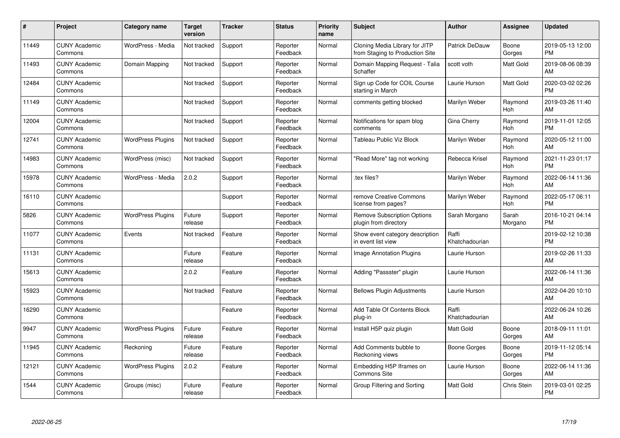| #     | Project                         | <b>Category name</b>     | <b>Target</b><br>version | <b>Tracker</b> | <b>Status</b>        | <b>Priority</b><br>name | <b>Subject</b>                                                    | <b>Author</b>           | Assignee              | <b>Updated</b>                |
|-------|---------------------------------|--------------------------|--------------------------|----------------|----------------------|-------------------------|-------------------------------------------------------------------|-------------------------|-----------------------|-------------------------------|
| 11449 | <b>CUNY Academic</b><br>Commons | WordPress - Media        | Not tracked              | Support        | Reporter<br>Feedback | Normal                  | Cloning Media Library for JITP<br>from Staging to Production Site | Patrick DeDauw          | Boone<br>Gorges       | 2019-05-13 12:00<br><b>PM</b> |
| 11493 | <b>CUNY Academic</b><br>Commons | Domain Mapping           | Not tracked              | Support        | Reporter<br>Feedback | Normal                  | Domain Mapping Request - Talia<br>Schaffer                        | scott voth              | Matt Gold             | 2019-08-06 08:39<br>AM        |
| 12484 | <b>CUNY Academic</b><br>Commons |                          | Not tracked              | Support        | Reporter<br>Feedback | Normal                  | Sign up Code for COIL Course<br>starting in March                 | Laurie Hurson           | Matt Gold             | 2020-03-02 02:26<br><b>PM</b> |
| 11149 | <b>CUNY Academic</b><br>Commons |                          | Not tracked              | Support        | Reporter<br>Feedback | Normal                  | comments getting blocked                                          | Marilyn Weber           | Raymond<br><b>Hoh</b> | 2019-03-26 11:40<br>AM        |
| 12004 | <b>CUNY Academic</b><br>Commons |                          | Not tracked              | Support        | Reporter<br>Feedback | Normal                  | Notifications for spam blog<br>comments                           | Gina Cherry             | Raymond<br>Hoh        | 2019-11-01 12:05<br><b>PM</b> |
| 12741 | <b>CUNY Academic</b><br>Commons | <b>WordPress Plugins</b> | Not tracked              | Support        | Reporter<br>Feedback | Normal                  | Tableau Public Viz Block                                          | Marilyn Weber           | Raymond<br>Hoh        | 2020-05-12 11:00<br>AM        |
| 14983 | <b>CUNY Academic</b><br>Commons | WordPress (misc)         | Not tracked              | Support        | Reporter<br>Feedback | Normal                  | "Read More" tag not working                                       | Rebecca Krisel          | Raymond<br><b>Hoh</b> | 2021-11-23 01:17<br><b>PM</b> |
| 15978 | <b>CUNY Academic</b><br>Commons | WordPress - Media        | 2.0.2                    | Support        | Reporter<br>Feedback | Normal                  | tex files?                                                        | Marilyn Weber           | Raymond<br>Hoh        | 2022-06-14 11:36<br>AM        |
| 16110 | <b>CUNY Academic</b><br>Commons |                          |                          | Support        | Reporter<br>Feedback | Normal                  | remove Creative Commons<br>license from pages?                    | Marilyn Weber           | Raymond<br>Hoh        | 2022-05-17 06:11<br><b>PM</b> |
| 5826  | <b>CUNY Academic</b><br>Commons | <b>WordPress Plugins</b> | Future<br>release        | Support        | Reporter<br>Feedback | Normal                  | <b>Remove Subscription Options</b><br>plugin from directory       | Sarah Morgano           | Sarah<br>Morgano      | 2016-10-21 04:14<br><b>PM</b> |
| 11077 | <b>CUNY Academic</b><br>Commons | Events                   | Not tracked              | Feature        | Reporter<br>Feedback | Normal                  | Show event category description<br>in event list view             | Raffi<br>Khatchadourian |                       | 2019-02-12 10:38<br><b>PM</b> |
| 11131 | <b>CUNY Academic</b><br>Commons |                          | Future<br>release        | Feature        | Reporter<br>Feedback | Normal                  | Image Annotation Plugins                                          | Laurie Hurson           |                       | 2019-02-26 11:33<br>AM        |
| 15613 | <b>CUNY Academic</b><br>Commons |                          | 2.0.2                    | Feature        | Reporter<br>Feedback | Normal                  | Adding "Passster" plugin                                          | Laurie Hurson           |                       | 2022-06-14 11:36<br>AM        |
| 15923 | <b>CUNY Academic</b><br>Commons |                          | Not tracked              | Feature        | Reporter<br>Feedback | Normal                  | <b>Bellows Plugin Adjustments</b>                                 | Laurie Hurson           |                       | 2022-04-20 10:10<br>AM        |
| 16290 | <b>CUNY Academic</b><br>Commons |                          |                          | Feature        | Reporter<br>Feedback | Normal                  | Add Table Of Contents Block<br>plug-in                            | Raffi<br>Khatchadourian |                       | 2022-06-24 10:26<br>AM        |
| 9947  | <b>CUNY Academic</b><br>Commons | <b>WordPress Plugins</b> | Future<br>release        | Feature        | Reporter<br>Feedback | Normal                  | Install H5P quiz plugin                                           | Matt Gold               | Boone<br>Gorges       | 2018-09-11 11:01<br>AM        |
| 11945 | <b>CUNY Academic</b><br>Commons | Reckoning                | Future<br>release        | Feature        | Reporter<br>Feedback | Normal                  | Add Comments bubble to<br>Reckoning views                         | Boone Gorges            | Boone<br>Gorges       | 2019-11-12 05:14<br><b>PM</b> |
| 12121 | <b>CUNY Academic</b><br>Commons | <b>WordPress Plugins</b> | 2.0.2                    | Feature        | Reporter<br>Feedback | Normal                  | Embedding H5P Iframes on<br>Commons Site                          | Laurie Hurson           | Boone<br>Gorges       | 2022-06-14 11:36<br>AM        |
| 1544  | <b>CUNY Academic</b><br>Commons | Groups (misc)            | Future<br>release        | Feature        | Reporter<br>Feedback | Normal                  | Group Filtering and Sorting                                       | <b>Matt Gold</b>        | <b>Chris Stein</b>    | 2019-03-01 02:25<br><b>PM</b> |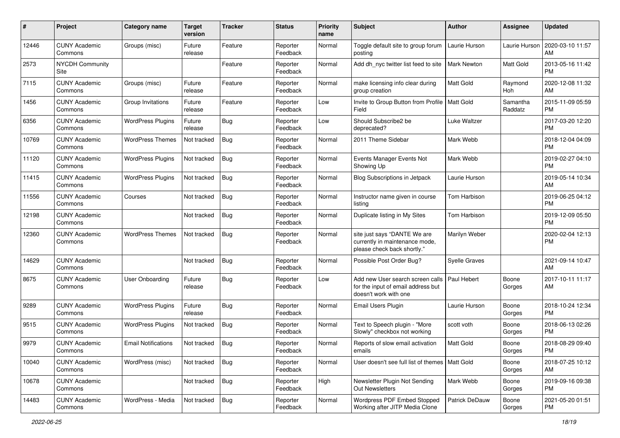| #     | Project                         | <b>Category name</b>       | <b>Target</b><br>version | <b>Tracker</b> | <b>Status</b>        | <b>Priority</b><br>name | Subject                                                                                                       | Author                | <b>Assignee</b>     | <b>Updated</b>                |
|-------|---------------------------------|----------------------------|--------------------------|----------------|----------------------|-------------------------|---------------------------------------------------------------------------------------------------------------|-----------------------|---------------------|-------------------------------|
| 12446 | <b>CUNY Academic</b><br>Commons | Groups (misc)              | Future<br>release        | Feature        | Reporter<br>Feedback | Normal                  | Toggle default site to group forum<br>posting                                                                 | Laurie Hurson         | Laurie Hurson       | 2020-03-10 11:57<br>AM        |
| 2573  | <b>NYCDH Community</b><br>Site  |                            |                          | Feature        | Reporter<br>Feedback | Normal                  | Add dh_nyc twitter list feed to site                                                                          | <b>Mark Newton</b>    | Matt Gold           | 2013-05-16 11:42<br><b>PM</b> |
| 7115  | <b>CUNY Academic</b><br>Commons | Groups (misc)              | Future<br>release        | Feature        | Reporter<br>Feedback | Normal                  | make licensing info clear during<br>group creation                                                            | Matt Gold             | Raymond<br>Hoh      | 2020-12-08 11:32<br>AM        |
| 1456  | <b>CUNY Academic</b><br>Commons | Group Invitations          | Future<br>release        | Feature        | Reporter<br>Feedback | Low                     | Invite to Group Button from Profile   Matt Gold<br>Field                                                      |                       | Samantha<br>Raddatz | 2015-11-09 05:59<br><b>PM</b> |
| 6356  | <b>CUNY Academic</b><br>Commons | <b>WordPress Plugins</b>   | Future<br>release        | <b>Bug</b>     | Reporter<br>Feedback | Low                     | Should Subscribe2 be<br>deprecated?                                                                           | Luke Waltzer          |                     | 2017-03-20 12:20<br><b>PM</b> |
| 10769 | <b>CUNY Academic</b><br>Commons | <b>WordPress Themes</b>    | Not tracked              | Bug            | Reporter<br>Feedback | Normal                  | 2011 Theme Sidebar                                                                                            | Mark Webb             |                     | 2018-12-04 04:09<br><b>PM</b> |
| 11120 | <b>CUNY Academic</b><br>Commons | <b>WordPress Plugins</b>   | Not tracked              | Bug            | Reporter<br>Feedback | Normal                  | Events Manager Events Not<br>Showing Up                                                                       | Mark Webb             |                     | 2019-02-27 04:10<br><b>PM</b> |
| 11415 | <b>CUNY Academic</b><br>Commons | <b>WordPress Plugins</b>   | Not tracked              | Bug            | Reporter<br>Feedback | Normal                  | Blog Subscriptions in Jetpack                                                                                 | Laurie Hurson         |                     | 2019-05-14 10:34<br>AM        |
| 11556 | <b>CUNY Academic</b><br>Commons | Courses                    | Not tracked              | Bug            | Reporter<br>Feedback | Normal                  | Instructor name given in course<br>listing                                                                    | Tom Harbison          |                     | 2019-06-25 04:12<br><b>PM</b> |
| 12198 | <b>CUNY Academic</b><br>Commons |                            | Not tracked              | <b>Bug</b>     | Reporter<br>Feedback | Normal                  | Duplicate listing in My Sites                                                                                 | Tom Harbison          |                     | 2019-12-09 05:50<br><b>PM</b> |
| 12360 | <b>CUNY Academic</b><br>Commons | <b>WordPress Themes</b>    | Not tracked              | Bug            | Reporter<br>Feedback | Normal                  | site just says "DANTE We are<br>currently in maintenance mode,<br>please check back shortly."                 | Marilyn Weber         |                     | 2020-02-04 12:13<br><b>PM</b> |
| 14629 | <b>CUNY Academic</b><br>Commons |                            | Not tracked              | Bug            | Reporter<br>Feedback | Normal                  | Possible Post Order Bug?                                                                                      | <b>Syelle Graves</b>  |                     | 2021-09-14 10:47<br>AM        |
| 8675  | <b>CUNY Academic</b><br>Commons | <b>User Onboarding</b>     | Future<br>release        | Bug            | Reporter<br>Feedback | Low                     | Add new User search screen calls   Paul Hebert<br>for the input of email address but<br>doesn't work with one |                       | Boone<br>Gorges     | 2017-10-11 11:17<br>AM        |
| 9289  | <b>CUNY Academic</b><br>Commons | <b>WordPress Plugins</b>   | Future<br>release        | <b>Bug</b>     | Reporter<br>Feedback | Normal                  | <b>Email Users Plugin</b>                                                                                     | Laurie Hurson         | Boone<br>Gorges     | 2018-10-24 12:34<br><b>PM</b> |
| 9515  | <b>CUNY Academic</b><br>Commons | <b>WordPress Plugins</b>   | Not tracked              | <b>Bug</b>     | Reporter<br>Feedback | Normal                  | Text to Speech plugin - "More<br>Slowly" checkbox not working                                                 | scott voth            | Boone<br>Gorges     | 2018-06-13 02:26<br><b>PM</b> |
| 9979  | <b>CUNY Academic</b><br>Commons | <b>Email Notifications</b> | Not tracked              | Bug            | Reporter<br>Feedback | Normal                  | Reports of slow email activation<br>emails                                                                    | <b>Matt Gold</b>      | Boone<br>Gorges     | 2018-08-29 09:40<br>PM        |
| 10040 | <b>CUNY Academic</b><br>Commons | WordPress (misc)           | Not tracked              | Bug            | Reporter<br>Feedback | Normal                  | User doesn't see full list of themes   Matt Gold                                                              |                       | Boone<br>Gorges     | 2018-07-25 10:12<br>AM        |
| 10678 | <b>CUNY Academic</b><br>Commons |                            | Not tracked              | Bug            | Reporter<br>Feedback | High                    | Newsletter Plugin Not Sending<br>Out Newsletters                                                              | Mark Webb             | Boone<br>Gorges     | 2019-09-16 09:38<br><b>PM</b> |
| 14483 | <b>CUNY Academic</b><br>Commons | WordPress - Media          | Not tracked              | Bug            | Reporter<br>Feedback | Normal                  | Wordpress PDF Embed Stopped<br>Working after JITP Media Clone                                                 | <b>Patrick DeDauw</b> | Boone<br>Gorges     | 2021-05-20 01:51<br><b>PM</b> |